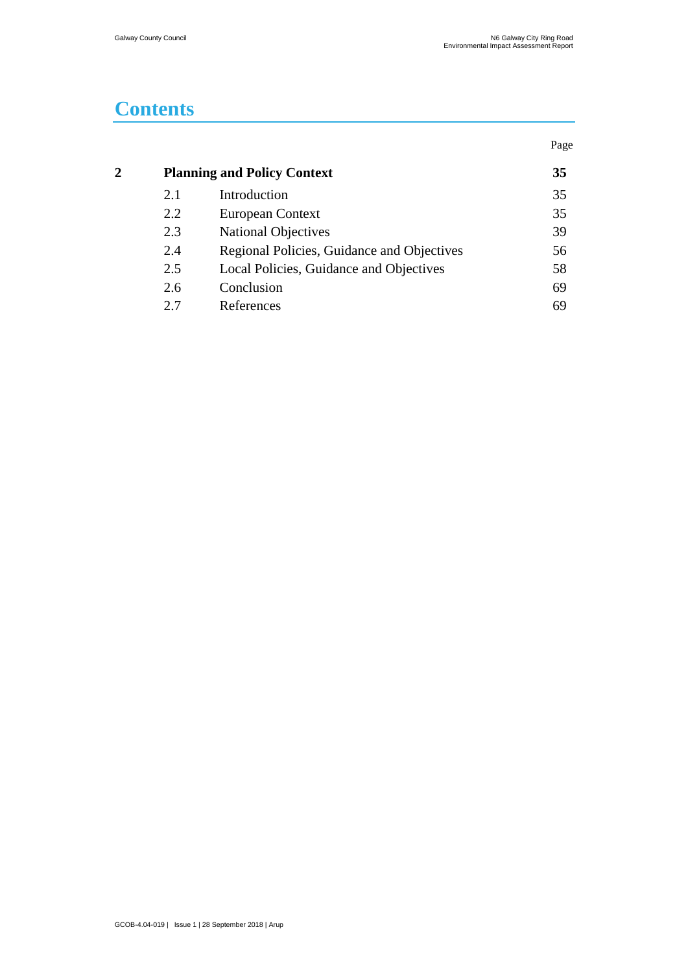# **Contents**

|     |                                            | Page                               |
|-----|--------------------------------------------|------------------------------------|
|     |                                            | 35                                 |
| 2.1 | Introduction                               | 35                                 |
| 2.2 | European Context                           | 35                                 |
| 2.3 | <b>National Objectives</b>                 | 39                                 |
| 2.4 | Regional Policies, Guidance and Objectives | 56                                 |
| 2.5 | Local Policies, Guidance and Objectives    | 58                                 |
| 2.6 | Conclusion                                 | 69                                 |
| 2.7 | References                                 | 69                                 |
|     |                                            | <b>Planning and Policy Context</b> |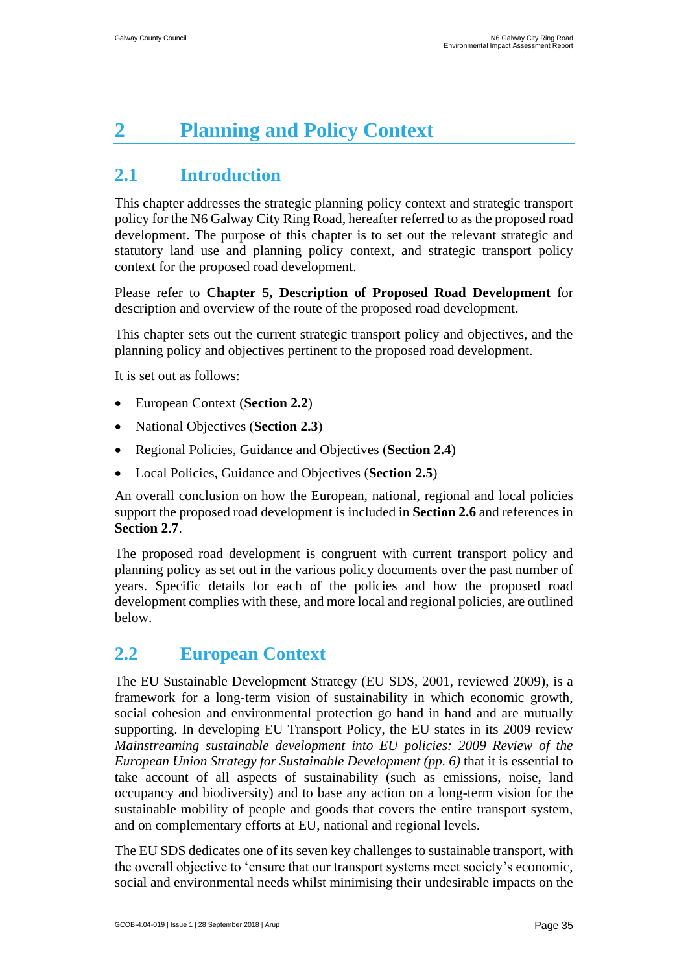# <span id="page-1-0"></span>**2 Planning and Policy Context**

# <span id="page-1-1"></span>**2.1 Introduction**

This chapter addresses the strategic planning policy context and strategic transport policy for the N6 Galway City Ring Road, hereafter referred to as the proposed road development. The purpose of this chapter is to set out the relevant strategic and statutory land use and planning policy context, and strategic transport policy context for the proposed road development.

Please refer to **Chapter 5, Description of Proposed Road Development** for description and overview of the route of the proposed road development.

This chapter sets out the current strategic transport policy and objectives, and the planning policy and objectives pertinent to the proposed road development.

It is set out as follows:

- European Context (**Section 2.2**)
- National Objectives (**Section 2.3**)
- Regional Policies, Guidance and Objectives (**Section 2.4**)
- Local Policies, Guidance and Objectives (**Section 2.5**)

An overall conclusion on how the European, national, regional and local policies support the proposed road development is included in **Section 2.6** and references in **Section 2.7**.

The proposed road development is congruent with current transport policy and planning policy as set out in the various policy documents over the past number of years. Specific details for each of the policies and how the proposed road development complies with these, and more local and regional policies, are outlined below.

# <span id="page-1-2"></span>**2.2 European Context**

The EU Sustainable Development Strategy (EU SDS, 2001, reviewed 2009), is a framework for a long-term vision of sustainability in which economic growth, social cohesion and environmental protection go hand in hand and are mutually supporting. In developing EU Transport Policy, the EU states in its 2009 review *Mainstreaming sustainable development into EU policies: 2009 Review of the European Union Strategy for Sustainable Development (pp. 6)* that it is essential to take account of all aspects of sustainability (such as emissions, noise, land occupancy and biodiversity) and to base any action on a long-term vision for the sustainable mobility of people and goods that covers the entire transport system, and on complementary efforts at EU, national and regional levels.

The EU SDS dedicates one of its seven key challenges to sustainable transport, with the overall objective to 'ensure that our transport systems meet society's economic, social and environmental needs whilst minimising their undesirable impacts on the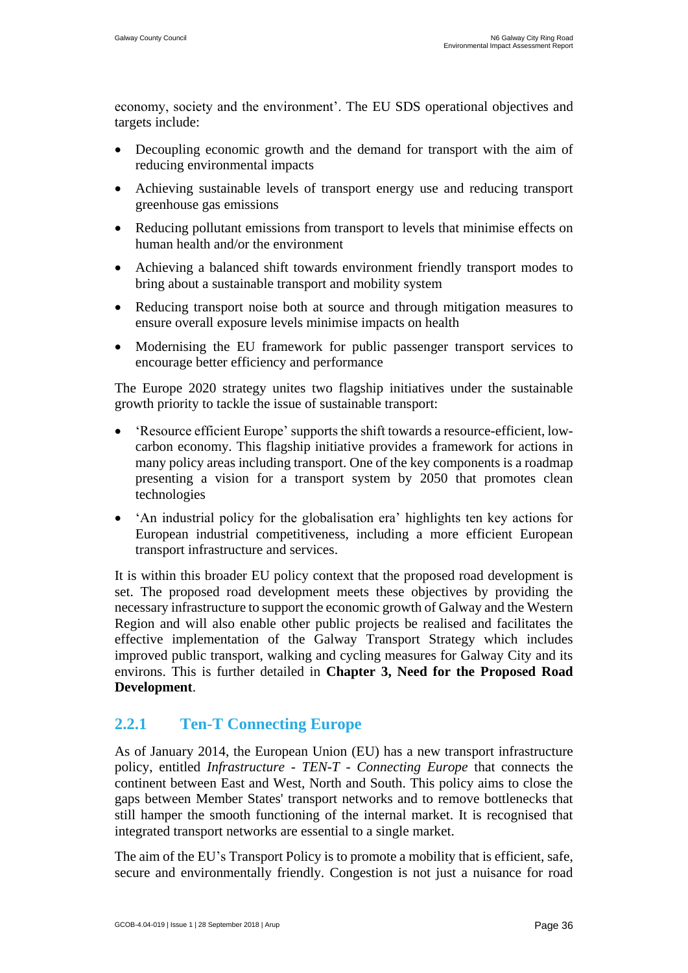economy, society and the environment'. The EU SDS operational objectives and targets include:

- Decoupling economic growth and the demand for transport with the aim of reducing environmental impacts
- Achieving sustainable levels of transport energy use and reducing transport greenhouse gas emissions
- Reducing pollutant emissions from transport to levels that minimise effects on human health and/or the environment
- Achieving a balanced shift towards environment friendly transport modes to bring about a sustainable transport and mobility system
- Reducing transport noise both at source and through mitigation measures to ensure overall exposure levels minimise impacts on health
- Modernising the EU framework for public passenger transport services to encourage better efficiency and performance

The Europe 2020 strategy unites two flagship initiatives under the sustainable growth priority to tackle the issue of sustainable transport:

- 'Resource efficient Europe' supports the shift towards a resource-efficient, lowcarbon economy. This flagship initiative provides a framework for actions in many policy areas including transport. One of the key components is a roadmap presenting a vision for a transport system by 2050 that promotes clean technologies
- 'An industrial policy for the globalisation era' highlights ten key actions for European industrial competitiveness, including a more efficient European transport infrastructure and services.

It is within this broader EU policy context that the proposed road development is set. The proposed road development meets these objectives by providing the necessary infrastructure to support the economic growth of Galway and the Western Region and will also enable other public projects be realised and facilitates the effective implementation of the Galway Transport Strategy which includes improved public transport, walking and cycling measures for Galway City and its environs. This is further detailed in **Chapter 3, Need for the Proposed Road Development**.

# **2.2.1 Ten-T Connecting Europe**

As of January 2014, the European Union (EU) has a new transport infrastructure policy, entitled *Infrastructure - TEN-T - Connecting Europe* that connects the continent between East and West, North and South. This policy aims to close the gaps between Member States' transport networks and to remove bottlenecks that still hamper the smooth functioning of the internal market. It is recognised that integrated transport networks are essential to a single market.

The aim of the EU's Transport Policy is to promote a mobility that is efficient, safe, secure and environmentally friendly. Congestion is not just a nuisance for road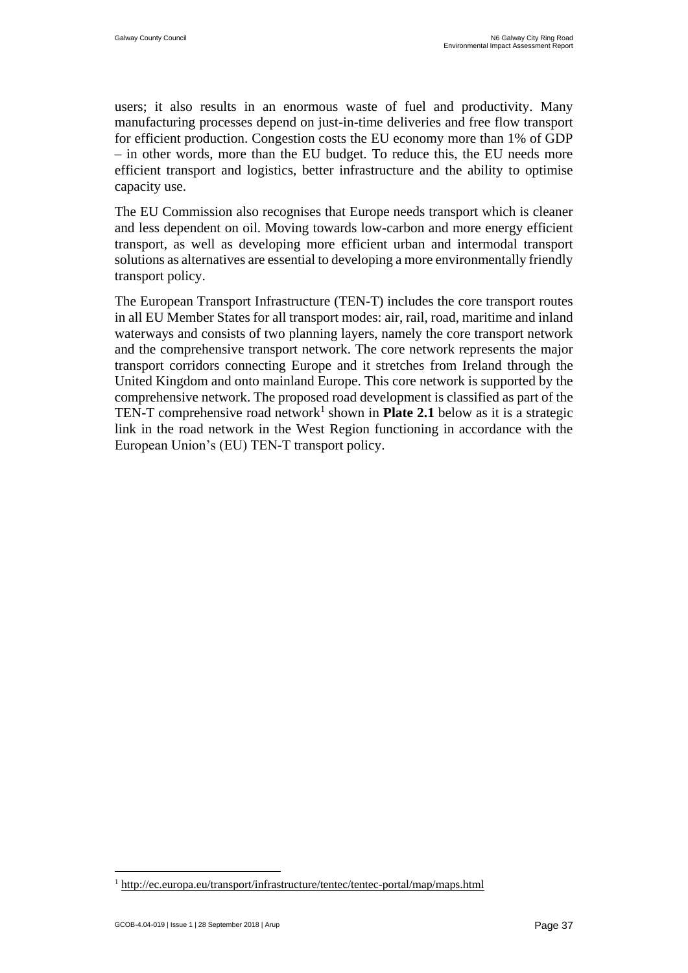users; it also results in an enormous waste of fuel and productivity. Many manufacturing processes depend on just-in-time deliveries and free flow transport for efficient production. Congestion costs the EU economy more than 1% of GDP – in other words, more than the EU budget. To reduce this, the EU needs more efficient transport and logistics, better infrastructure and the ability to optimise capacity use.

The EU Commission also recognises that Europe needs transport which is cleaner and less dependent on oil. Moving towards low-carbon and more energy efficient transport, as well as developing more efficient urban and intermodal transport solutions as alternatives are essential to developing a more environmentally friendly transport policy.

The European Transport Infrastructure (TEN-T) includes the core transport routes in all EU Member States for all transport modes: air, rail, road, maritime and inland waterways and consists of two planning layers, namely the core transport network and the comprehensive transport network. The core network represents the major transport corridors connecting Europe and it stretches from Ireland through the United Kingdom and onto mainland Europe. This core network is supported by the comprehensive network. The proposed road development is classified as part of the TEN-T comprehensive road network<sup>1</sup> shown in **Plate 2.1** below as it is a strategic link in the road network in the West Region functioning in accordance with the European Union's (EU) TEN-T transport policy.

 $\overline{a}$ 

<sup>&</sup>lt;sup>1</sup> [http://ec.europa.eu/transport/infrastructure/tentec/tentec-portal/map/maps.html](http://secure-web.cisco.com/1c969FLpOM3DVqfYPDIt1z02Sk7lwKYm3NUiQaeYQ7Ql2qn8wDXEd7XqHKaWYyDUnuXlcXfN_N-yeBMDFJjMjuXDkOC0GtiP0TWDGQZX7EyuS5M6_2AlFnk_r4CQLPKYQ66XRD-Rg6Jm8QirJhudqDyCwD_HlYVUAtaWCqc3Vl-sUiych1d00E5jhlS4KJ53aL4UTfD59GTdYHfWrE93n9rEQIQN7rTCrhSWrlSEjA-tTn7CAik3IfEpTj0S4iN1GyzHZle-o0wUDbdRxZz6Hbw/http%3A%2F%2Fec.europa.eu%2Ftransport%2Finfrastructure%2Ftentec%2Ftentec-portal%2Fmap%2Fmaps.html)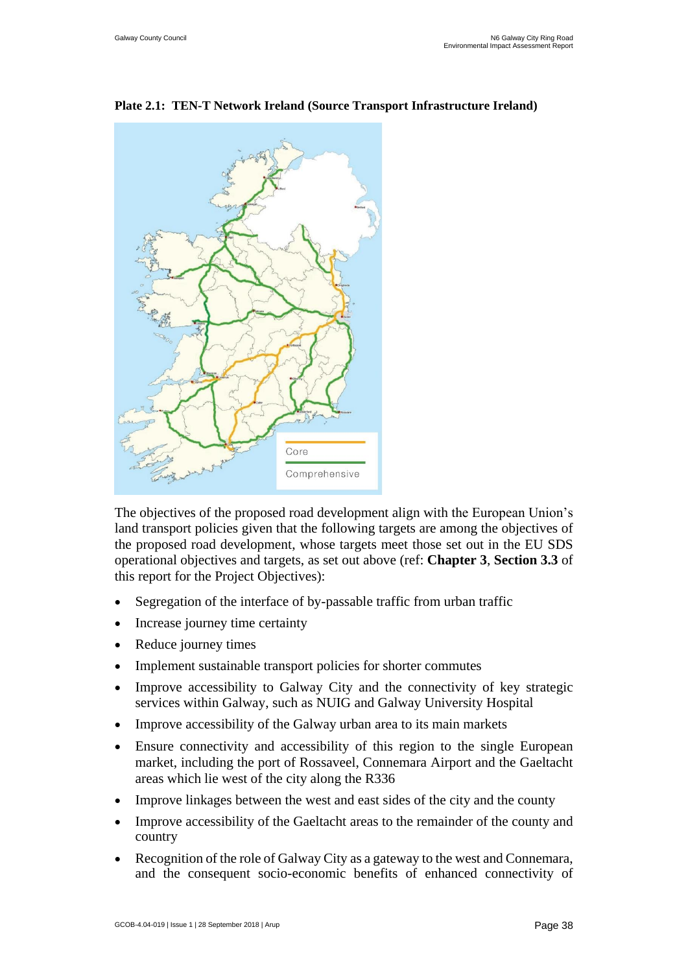

#### **Plate 2.1: TEN-T Network Ireland (Source Transport Infrastructure Ireland)**

The objectives of the proposed road development align with the European Union's land transport policies given that the following targets are among the objectives of the proposed road development, whose targets meet those set out in the EU SDS operational objectives and targets, as set out above (ref: **Chapter 3**, **Section 3.3** of this report for the Project Objectives):

- Segregation of the interface of by-passable traffic from urban traffic
- Increase journey time certainty
- Reduce journey times
- Implement sustainable transport policies for shorter commutes
- Improve accessibility to Galway City and the connectivity of key strategic services within Galway, such as NUIG and Galway University Hospital
- Improve accessibility of the Galway urban area to its main markets
- Ensure connectivity and accessibility of this region to the single European market, including the port of Rossaveel, Connemara Airport and the Gaeltacht areas which lie west of the city along the R336
- Improve linkages between the west and east sides of the city and the county
- Improve accessibility of the Gaeltacht areas to the remainder of the county and country
- Recognition of the role of Galway City as a gateway to the west and Connemara, and the consequent socio-economic benefits of enhanced connectivity of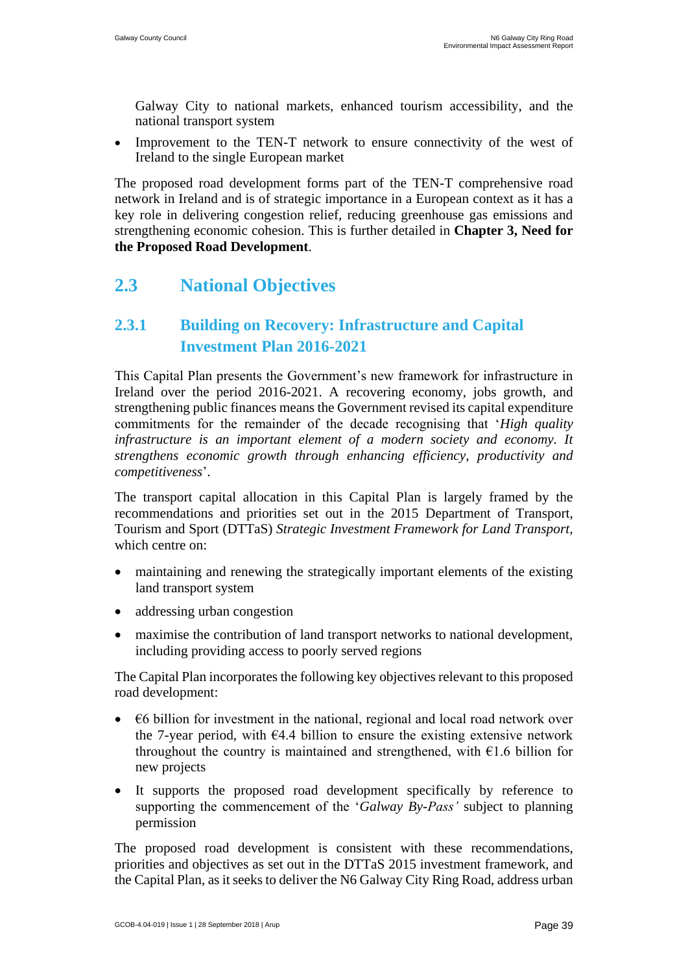Galway City to national markets, enhanced tourism accessibility, and the national transport system

• Improvement to the TEN-T network to ensure connectivity of the west of Ireland to the single European market

The proposed road development forms part of the TEN-T comprehensive road network in Ireland and is of strategic importance in a European context as it has a key role in delivering congestion relief, reducing greenhouse gas emissions and strengthening economic cohesion. This is further detailed in **Chapter 3, Need for the Proposed Road Development**.

# <span id="page-5-0"></span>**2.3 National Objectives**

# **2.3.1 Building on Recovery: Infrastructure and Capital Investment Plan 2016-2021**

This Capital Plan presents the Government's new framework for infrastructure in Ireland over the period 2016-2021. A recovering economy, jobs growth, and strengthening public finances means the Government revised its capital expenditure commitments for the remainder of the decade recognising that '*High quality infrastructure is an important element of a modern society and economy. It strengthens economic growth through enhancing efficiency, productivity and competitiveness*'.

The transport capital allocation in this Capital Plan is largely framed by the recommendations and priorities set out in the 2015 Department of Transport, Tourism and Sport (DTTaS) *Strategic Investment Framework for Land Transport,*  which centre on:

- maintaining and renewing the strategically important elements of the existing land transport system
- addressing urban congestion
- maximise the contribution of land transport networks to national development, including providing access to poorly served regions

The Capital Plan incorporates the following key objectives relevant to this proposed road development:

- $\epsilon$ 6 billion for investment in the national, regional and local road network over the 7-year period, with  $64.4$  billion to ensure the existing extensive network throughout the country is maintained and strengthened, with  $\epsilon$ 1.6 billion for new projects
- It supports the proposed road development specifically by reference to supporting the commencement of the '*Galway By-Pass'* subject to planning permission

The proposed road development is consistent with these recommendations, priorities and objectives as set out in the DTTaS 2015 investment framework, and the Capital Plan, as it seeks to deliver the N6 Galway City Ring Road, address urban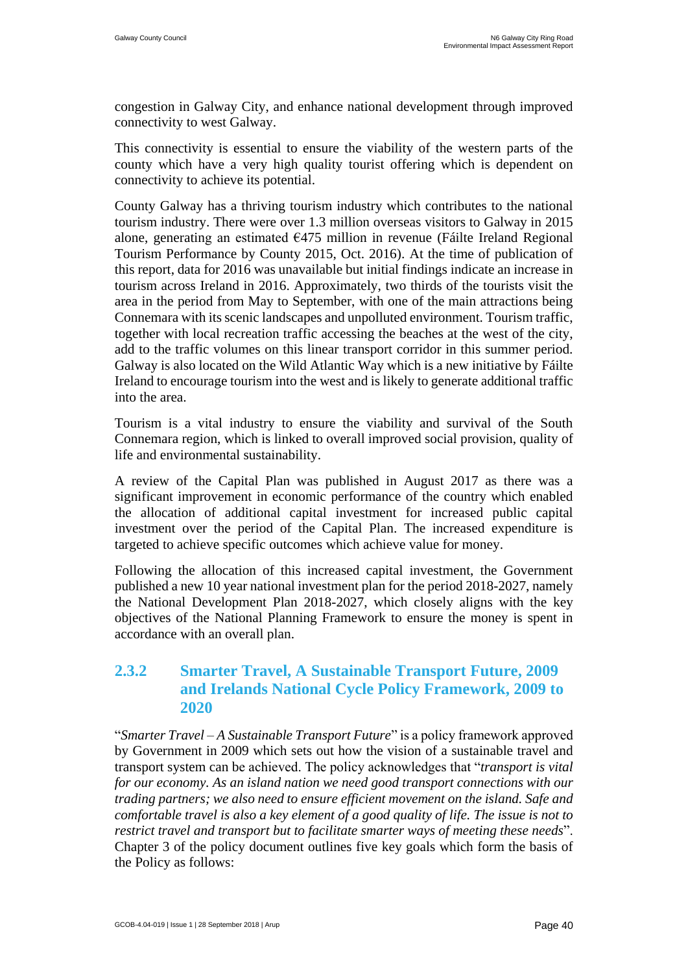congestion in Galway City, and enhance national development through improved connectivity to west Galway.

This connectivity is essential to ensure the viability of the western parts of the county which have a very high quality tourist offering which is dependent on connectivity to achieve its potential.

County Galway has a thriving tourism industry which contributes to the national tourism industry. There were over 1.3 million overseas visitors to Galway in 2015 alone, generating an estimated €475 million in revenue (Fáilte Ireland Regional Tourism Performance by County 2015, Oct. 2016). At the time of publication of this report, data for 2016 was unavailable but initial findings indicate an increase in tourism across Ireland in 2016. Approximately, two thirds of the tourists visit the area in the period from May to September, with one of the main attractions being Connemara with its scenic landscapes and unpolluted environment. Tourism traffic, together with local recreation traffic accessing the beaches at the west of the city, add to the traffic volumes on this linear transport corridor in this summer period. Galway is also located on the Wild Atlantic Way which is a new initiative by Fáilte Ireland to encourage tourism into the west and is likely to generate additional traffic into the area.

Tourism is a vital industry to ensure the viability and survival of the South Connemara region, which is linked to overall improved social provision, quality of life and environmental sustainability.

A review of the Capital Plan was published in August 2017 as there was a significant improvement in economic performance of the country which enabled the allocation of additional capital investment for increased public capital investment over the period of the Capital Plan. The increased expenditure is targeted to achieve specific outcomes which achieve value for money.

Following the allocation of this increased capital investment, the Government published a new 10 year national investment plan for the period 2018-2027, namely the National Development Plan 2018-2027, which closely aligns with the key objectives of the National Planning Framework to ensure the money is spent in accordance with an overall plan.

#### **2.3.2 Smarter Travel, A Sustainable Transport Future, 2009 and Irelands National Cycle Policy Framework, 2009 to 2020**

"*Smarter Travel – A Sustainable Transport Future*" is a policy framework approved by Government in 2009 which sets out how the vision of a sustainable travel and transport system can be achieved. The policy acknowledges that "*transport is vital for our economy. As an island nation we need good transport connections with our trading partners; we also need to ensure efficient movement on the island. Safe and comfortable travel is also a key element of a good quality of life. The issue is not to restrict travel and transport but to facilitate smarter ways of meeting these needs*". Chapter 3 of the policy document outlines five key goals which form the basis of the Policy as follows: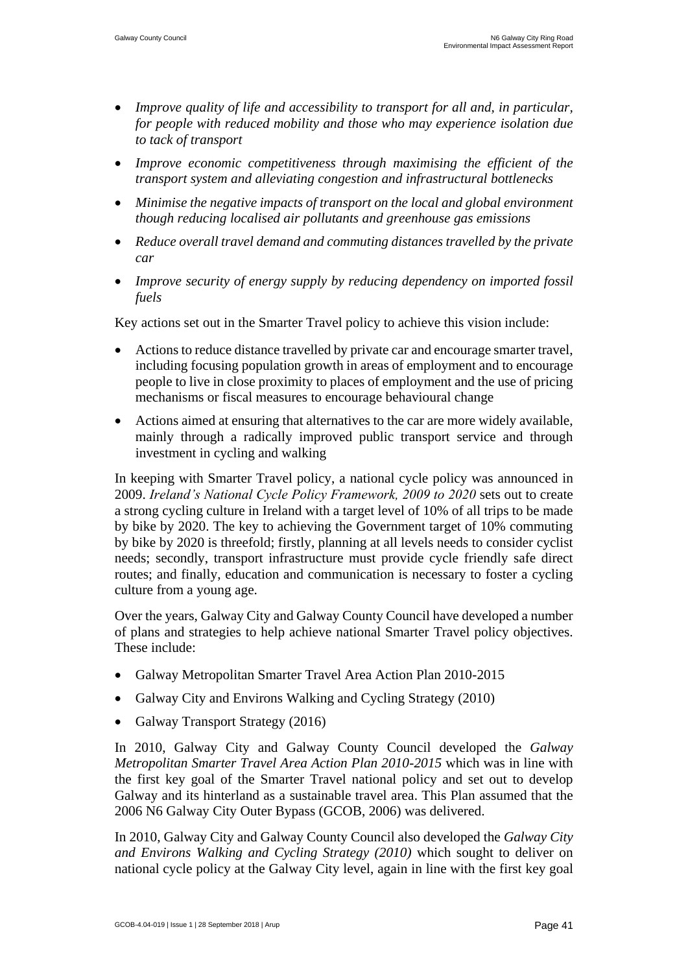- *Improve quality of life and accessibility to transport for all and, in particular, for people with reduced mobility and those who may experience isolation due to tack of transport*
- *Improve economic competitiveness through maximising the efficient of the transport system and alleviating congestion and infrastructural bottlenecks*
- *Minimise the negative impacts of transport on the local and global environment though reducing localised air pollutants and greenhouse gas emissions*
- *Reduce overall travel demand and commuting distances travelled by the private car*
- *Improve security of energy supply by reducing dependency on imported fossil fuels*

Key actions set out in the Smarter Travel policy to achieve this vision include:

- Actions to reduce distance travelled by private car and encourage smarter travel, including focusing population growth in areas of employment and to encourage people to live in close proximity to places of employment and the use of pricing mechanisms or fiscal measures to encourage behavioural change
- Actions aimed at ensuring that alternatives to the car are more widely available, mainly through a radically improved public transport service and through investment in cycling and walking

In keeping with Smarter Travel policy, a national cycle policy was announced in 2009. *Ireland's National Cycle Policy Framework, 2009 to 2020* sets out to create a strong cycling culture in Ireland with a target level of 10% of all trips to be made by bike by 2020. The key to achieving the Government target of 10% commuting by bike by 2020 is threefold; firstly, planning at all levels needs to consider cyclist needs; secondly, transport infrastructure must provide cycle friendly safe direct routes; and finally, education and communication is necessary to foster a cycling culture from a young age.

Over the years, Galway City and Galway County Council have developed a number of plans and strategies to help achieve national Smarter Travel policy objectives. These include:

- Galway Metropolitan Smarter Travel Area Action Plan 2010-2015
- Galway City and Environs Walking and Cycling Strategy (2010)
- Galway Transport Strategy (2016)

In 2010, Galway City and Galway County Council developed the *Galway Metropolitan Smarter Travel Area Action Plan 2010-2015* which was in line with the first key goal of the Smarter Travel national policy and set out to develop Galway and its hinterland as a sustainable travel area. This Plan assumed that the 2006 N6 Galway City Outer Bypass (GCOB, 2006) was delivered.

In 2010, Galway City and Galway County Council also developed the *Galway City and Environs Walking and Cycling Strategy (2010)* which sought to deliver on national cycle policy at the Galway City level, again in line with the first key goal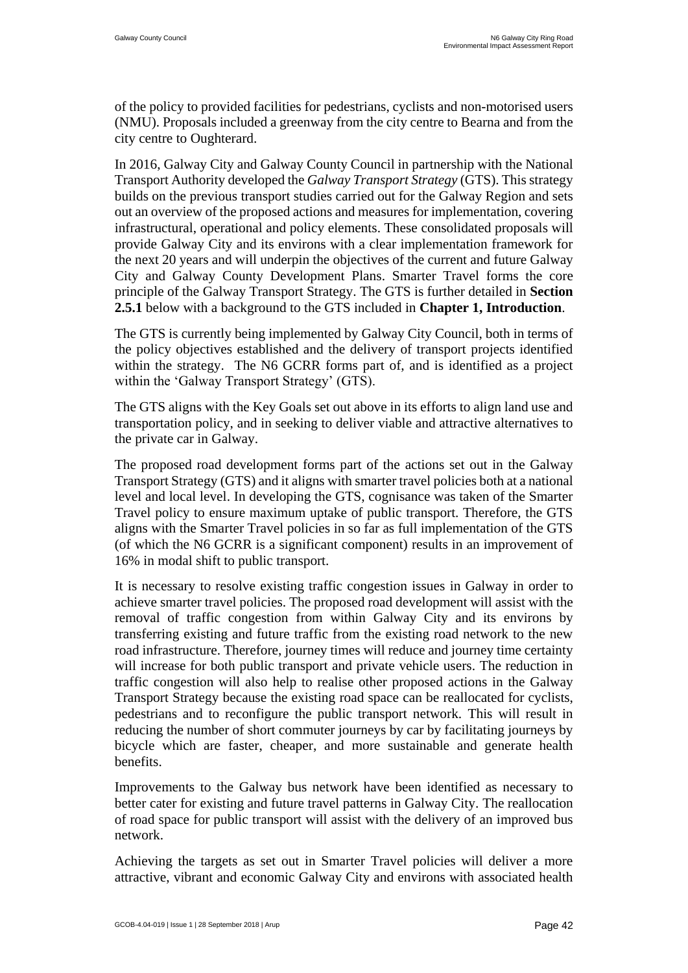of the policy to provided facilities for pedestrians, cyclists and non-motorised users (NMU). Proposals included a greenway from the city centre to Bearna and from the city centre to Oughterard.

In 2016, Galway City and Galway County Council in partnership with the National Transport Authority developed the *Galway Transport Strategy* (GTS). This strategy builds on the previous transport studies carried out for the Galway Region and sets out an overview of the proposed actions and measures for implementation, covering infrastructural, operational and policy elements. These consolidated proposals will provide Galway City and its environs with a clear implementation framework for the next 20 years and will underpin the objectives of the current and future Galway City and Galway County Development Plans. Smarter Travel forms the core principle of the Galway Transport Strategy. The GTS is further detailed in **Section 2.5.1** below with a background to the GTS included in **Chapter 1, Introduction**.

The GTS is currently being implemented by Galway City Council, both in terms of the policy objectives established and the delivery of transport projects identified within the strategy. The N6 GCRR forms part of, and is identified as a project within the 'Galway Transport Strategy' (GTS).

The GTS aligns with the Key Goals set out above in its efforts to align land use and transportation policy, and in seeking to deliver viable and attractive alternatives to the private car in Galway.

The proposed road development forms part of the actions set out in the Galway Transport Strategy (GTS) and it aligns with smarter travel policies both at a national level and local level. In developing the GTS, cognisance was taken of the Smarter Travel policy to ensure maximum uptake of public transport. Therefore, the GTS aligns with the Smarter Travel policies in so far as full implementation of the GTS (of which the N6 GCRR is a significant component) results in an improvement of 16% in modal shift to public transport.

It is necessary to resolve existing traffic congestion issues in Galway in order to achieve smarter travel policies. The proposed road development will assist with the removal of traffic congestion from within Galway City and its environs by transferring existing and future traffic from the existing road network to the new road infrastructure. Therefore, journey times will reduce and journey time certainty will increase for both public transport and private vehicle users. The reduction in traffic congestion will also help to realise other proposed actions in the Galway Transport Strategy because the existing road space can be reallocated for cyclists, pedestrians and to reconfigure the public transport network. This will result in reducing the number of short commuter journeys by car by facilitating journeys by bicycle which are faster, cheaper, and more sustainable and generate health benefits.

Improvements to the Galway bus network have been identified as necessary to better cater for existing and future travel patterns in Galway City. The reallocation of road space for public transport will assist with the delivery of an improved bus network.

Achieving the targets as set out in Smarter Travel policies will deliver a more attractive, vibrant and economic Galway City and environs with associated health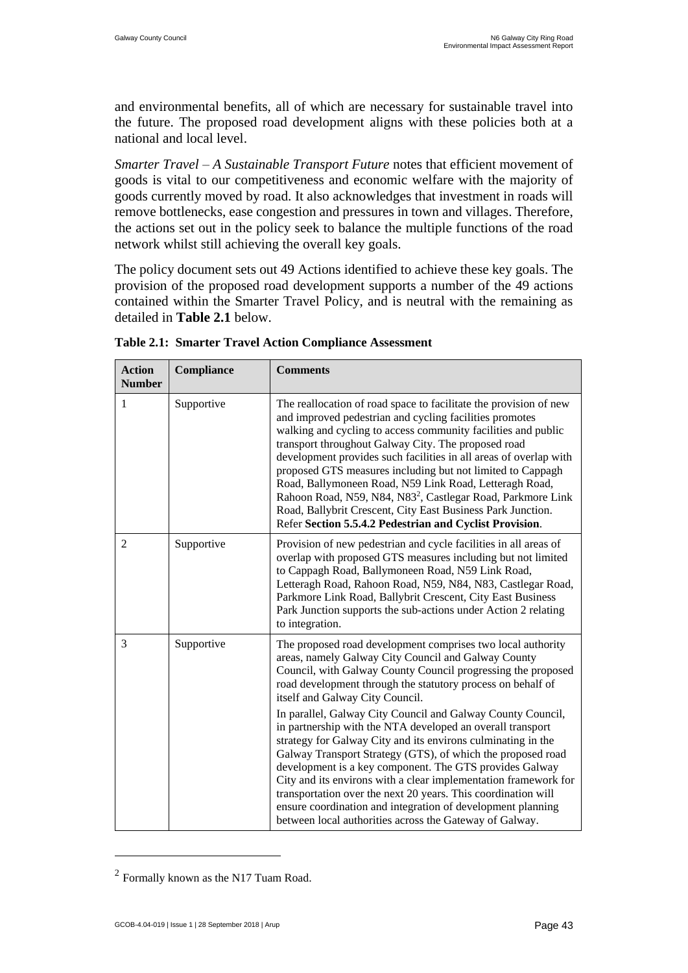and environmental benefits, all of which are necessary for sustainable travel into the future. The proposed road development aligns with these policies both at a national and local level.

*Smarter Travel – A Sustainable Transport Future* notes that efficient movement of goods is vital to our competitiveness and economic welfare with the majority of goods currently moved by road. It also acknowledges that investment in roads will remove bottlenecks, ease congestion and pressures in town and villages. Therefore, the actions set out in the policy seek to balance the multiple functions of the road network whilst still achieving the overall key goals.

The policy document sets out 49 Actions identified to achieve these key goals. The provision of the proposed road development supports a number of the 49 actions contained within the Smarter Travel Policy, and is neutral with the remaining as detailed in **Table 2.1** below.

| <b>Action</b><br><b>Number</b> | Compliance | <b>Comments</b>                                                                                                                                                                                                                                                                                                                                                                                                                                                                                                                                                                                                                                        |
|--------------------------------|------------|--------------------------------------------------------------------------------------------------------------------------------------------------------------------------------------------------------------------------------------------------------------------------------------------------------------------------------------------------------------------------------------------------------------------------------------------------------------------------------------------------------------------------------------------------------------------------------------------------------------------------------------------------------|
| $\mathbf{1}$                   | Supportive | The reallocation of road space to facilitate the provision of new<br>and improved pedestrian and cycling facilities promotes<br>walking and cycling to access community facilities and public<br>transport throughout Galway City. The proposed road<br>development provides such facilities in all areas of overlap with<br>proposed GTS measures including but not limited to Cappagh<br>Road, Ballymoneen Road, N59 Link Road, Letteragh Road,<br>Rahoon Road, N59, N84, N83 <sup>2</sup> , Castlegar Road, Parkmore Link<br>Road, Ballybrit Crescent, City East Business Park Junction.<br>Refer Section 5.5.4.2 Pedestrian and Cyclist Provision. |
| $\overline{2}$                 | Supportive | Provision of new pedestrian and cycle facilities in all areas of<br>overlap with proposed GTS measures including but not limited<br>to Cappagh Road, Ballymoneen Road, N59 Link Road,<br>Letteragh Road, Rahoon Road, N59, N84, N83, Castlegar Road,<br>Parkmore Link Road, Ballybrit Crescent, City East Business<br>Park Junction supports the sub-actions under Action 2 relating<br>to integration.                                                                                                                                                                                                                                                |
| 3                              | Supportive | The proposed road development comprises two local authority<br>areas, namely Galway City Council and Galway County<br>Council, with Galway County Council progressing the proposed<br>road development through the statutory process on behalf of<br>itself and Galway City Council.                                                                                                                                                                                                                                                                                                                                                                   |
|                                |            | In parallel, Galway City Council and Galway County Council,<br>in partnership with the NTA developed an overall transport<br>strategy for Galway City and its environs culminating in the<br>Galway Transport Strategy (GTS), of which the proposed road<br>development is a key component. The GTS provides Galway<br>City and its environs with a clear implementation framework for<br>transportation over the next 20 years. This coordination will<br>ensure coordination and integration of development planning<br>between local authorities across the Gateway of Galway.                                                                      |

**Table 2.1: Smarter Travel Action Compliance Assessment**

 $\overline{a}$ 

 $2$  Formally known as the N17 Tuam Road.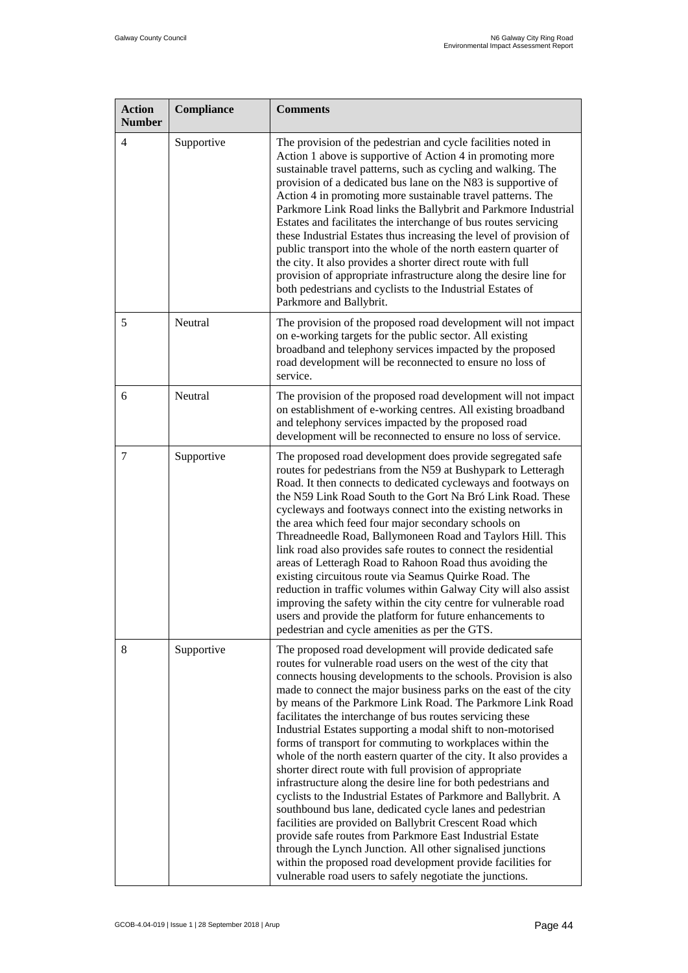| <b>Action</b><br><b>Number</b> | Compliance | <b>Comments</b>                                                                                                                                                                                                                                                                                                                                                                                                                                                                                                                                                                                                                                                                                                                                                                                                                                                                                                                                                                                                                                                                                                                                                              |
|--------------------------------|------------|------------------------------------------------------------------------------------------------------------------------------------------------------------------------------------------------------------------------------------------------------------------------------------------------------------------------------------------------------------------------------------------------------------------------------------------------------------------------------------------------------------------------------------------------------------------------------------------------------------------------------------------------------------------------------------------------------------------------------------------------------------------------------------------------------------------------------------------------------------------------------------------------------------------------------------------------------------------------------------------------------------------------------------------------------------------------------------------------------------------------------------------------------------------------------|
| 4                              | Supportive | The provision of the pedestrian and cycle facilities noted in<br>Action 1 above is supportive of Action 4 in promoting more<br>sustainable travel patterns, such as cycling and walking. The<br>provision of a dedicated bus lane on the N83 is supportive of<br>Action 4 in promoting more sustainable travel patterns. The<br>Parkmore Link Road links the Ballybrit and Parkmore Industrial<br>Estates and facilitates the interchange of bus routes servicing<br>these Industrial Estates thus increasing the level of provision of<br>public transport into the whole of the north eastern quarter of<br>the city. It also provides a shorter direct route with full<br>provision of appropriate infrastructure along the desire line for<br>both pedestrians and cyclists to the Industrial Estates of<br>Parkmore and Ballybrit.                                                                                                                                                                                                                                                                                                                                      |
| 5                              | Neutral    | The provision of the proposed road development will not impact<br>on e-working targets for the public sector. All existing<br>broadband and telephony services impacted by the proposed<br>road development will be reconnected to ensure no loss of<br>service.                                                                                                                                                                                                                                                                                                                                                                                                                                                                                                                                                                                                                                                                                                                                                                                                                                                                                                             |
| 6                              | Neutral    | The provision of the proposed road development will not impact<br>on establishment of e-working centres. All existing broadband<br>and telephony services impacted by the proposed road<br>development will be reconnected to ensure no loss of service.                                                                                                                                                                                                                                                                                                                                                                                                                                                                                                                                                                                                                                                                                                                                                                                                                                                                                                                     |
| 7                              | Supportive | The proposed road development does provide segregated safe<br>routes for pedestrians from the N59 at Bushypark to Letteragh<br>Road. It then connects to dedicated cycleways and footways on<br>the N59 Link Road South to the Gort Na Bró Link Road. These<br>cycleways and footways connect into the existing networks in<br>the area which feed four major secondary schools on<br>Threadneedle Road, Ballymoneen Road and Taylors Hill. This<br>link road also provides safe routes to connect the residential<br>areas of Letteragh Road to Rahoon Road thus avoiding the<br>existing circuitous route via Seamus Quirke Road. The<br>reduction in traffic volumes within Galway City will also assist<br>improving the safety within the city centre for vulnerable road<br>users and provide the platform for future enhancements to<br>pedestrian and cycle amenities as per the GTS.                                                                                                                                                                                                                                                                                |
| 8                              | Supportive | The proposed road development will provide dedicated safe<br>routes for vulnerable road users on the west of the city that<br>connects housing developments to the schools. Provision is also<br>made to connect the major business parks on the east of the city<br>by means of the Parkmore Link Road. The Parkmore Link Road<br>facilitates the interchange of bus routes servicing these<br>Industrial Estates supporting a modal shift to non-motorised<br>forms of transport for commuting to workplaces within the<br>whole of the north eastern quarter of the city. It also provides a<br>shorter direct route with full provision of appropriate<br>infrastructure along the desire line for both pedestrians and<br>cyclists to the Industrial Estates of Parkmore and Ballybrit. A<br>southbound bus lane, dedicated cycle lanes and pedestrian<br>facilities are provided on Ballybrit Crescent Road which<br>provide safe routes from Parkmore East Industrial Estate<br>through the Lynch Junction. All other signalised junctions<br>within the proposed road development provide facilities for<br>vulnerable road users to safely negotiate the junctions. |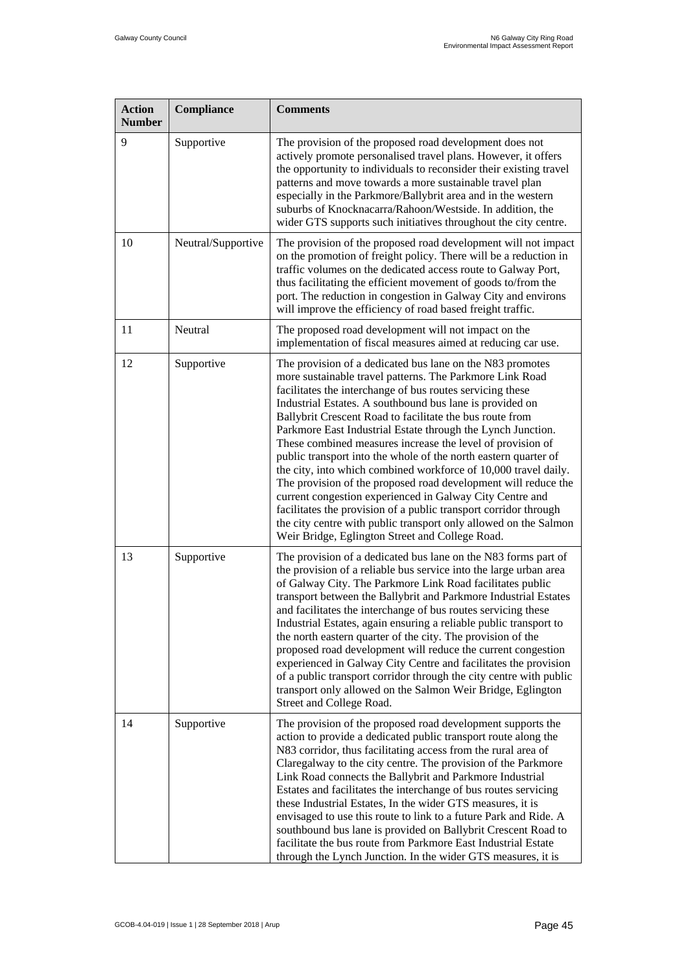| <b>Action</b><br><b>Number</b> | Compliance         | <b>Comments</b>                                                                                                                                                                                                                                                                                                                                                                                                                                                                                                                                                                                                                                                                                                                                                                                                                                                                                        |
|--------------------------------|--------------------|--------------------------------------------------------------------------------------------------------------------------------------------------------------------------------------------------------------------------------------------------------------------------------------------------------------------------------------------------------------------------------------------------------------------------------------------------------------------------------------------------------------------------------------------------------------------------------------------------------------------------------------------------------------------------------------------------------------------------------------------------------------------------------------------------------------------------------------------------------------------------------------------------------|
| 9                              | Supportive         | The provision of the proposed road development does not<br>actively promote personalised travel plans. However, it offers<br>the opportunity to individuals to reconsider their existing travel<br>patterns and move towards a more sustainable travel plan<br>especially in the Parkmore/Ballybrit area and in the western<br>suburbs of Knocknacarra/Rahoon/Westside. In addition, the<br>wider GTS supports such initiatives throughout the city centre.                                                                                                                                                                                                                                                                                                                                                                                                                                            |
| 10                             | Neutral/Supportive | The provision of the proposed road development will not impact<br>on the promotion of freight policy. There will be a reduction in<br>traffic volumes on the dedicated access route to Galway Port,<br>thus facilitating the efficient movement of goods to/from the<br>port. The reduction in congestion in Galway City and environs<br>will improve the efficiency of road based freight traffic.                                                                                                                                                                                                                                                                                                                                                                                                                                                                                                    |
| 11                             | Neutral            | The proposed road development will not impact on the<br>implementation of fiscal measures aimed at reducing car use.                                                                                                                                                                                                                                                                                                                                                                                                                                                                                                                                                                                                                                                                                                                                                                                   |
| 12                             | Supportive         | The provision of a dedicated bus lane on the N83 promotes<br>more sustainable travel patterns. The Parkmore Link Road<br>facilitates the interchange of bus routes servicing these<br>Industrial Estates. A southbound bus lane is provided on<br>Ballybrit Crescent Road to facilitate the bus route from<br>Parkmore East Industrial Estate through the Lynch Junction.<br>These combined measures increase the level of provision of<br>public transport into the whole of the north eastern quarter of<br>the city, into which combined workforce of 10,000 travel daily.<br>The provision of the proposed road development will reduce the<br>current congestion experienced in Galway City Centre and<br>facilitates the provision of a public transport corridor through<br>the city centre with public transport only allowed on the Salmon<br>Weir Bridge, Eglington Street and College Road. |
| 13                             | Supportive         | The provision of a dedicated bus lane on the N83 forms part of<br>the provision of a reliable bus service into the large urban area<br>of Galway City. The Parkmore Link Road facilitates public<br>transport between the Ballybrit and Parkmore Industrial Estates<br>and facilitates the interchange of bus routes servicing these<br>Industrial Estates, again ensuring a reliable public transport to<br>the north eastern quarter of the city. The provision of the<br>proposed road development will reduce the current congestion<br>experienced in Galway City Centre and facilitates the provision<br>of a public transport corridor through the city centre with public<br>transport only allowed on the Salmon Weir Bridge, Eglington<br>Street and College Road.                                                                                                                           |
| 14                             | Supportive         | The provision of the proposed road development supports the<br>action to provide a dedicated public transport route along the<br>N83 corridor, thus facilitating access from the rural area of<br>Claregalway to the city centre. The provision of the Parkmore<br>Link Road connects the Ballybrit and Parkmore Industrial<br>Estates and facilitates the interchange of bus routes servicing<br>these Industrial Estates, In the wider GTS measures, it is<br>envisaged to use this route to link to a future Park and Ride. A<br>southbound bus lane is provided on Ballybrit Crescent Road to<br>facilitate the bus route from Parkmore East Industrial Estate<br>through the Lynch Junction. In the wider GTS measures, it is                                                                                                                                                                     |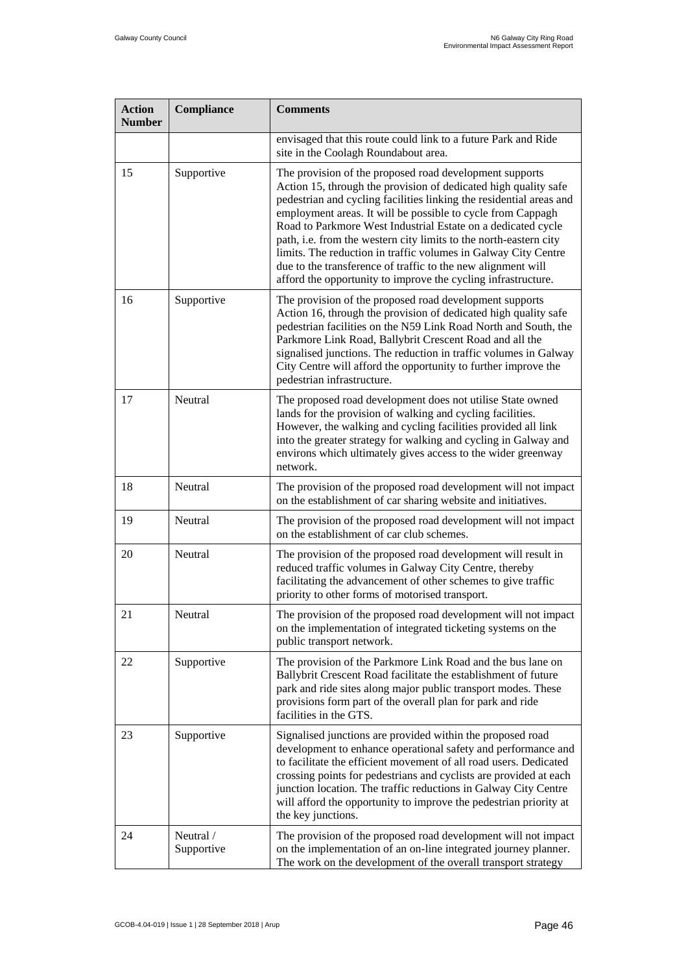| <b>Action</b><br><b>Number</b> | Compliance              | <b>Comments</b>                                                                                                                                                                                                                                                                                                                                                                                                                                                                                                                                                                                          |
|--------------------------------|-------------------------|----------------------------------------------------------------------------------------------------------------------------------------------------------------------------------------------------------------------------------------------------------------------------------------------------------------------------------------------------------------------------------------------------------------------------------------------------------------------------------------------------------------------------------------------------------------------------------------------------------|
|                                |                         | envisaged that this route could link to a future Park and Ride<br>site in the Coolagh Roundabout area.                                                                                                                                                                                                                                                                                                                                                                                                                                                                                                   |
| 15                             | Supportive              | The provision of the proposed road development supports<br>Action 15, through the provision of dedicated high quality safe<br>pedestrian and cycling facilities linking the residential areas and<br>employment areas. It will be possible to cycle from Cappagh<br>Road to Parkmore West Industrial Estate on a dedicated cycle<br>path, i.e. from the western city limits to the north-eastern city<br>limits. The reduction in traffic volumes in Galway City Centre<br>due to the transference of traffic to the new alignment will<br>afford the opportunity to improve the cycling infrastructure. |
| 16                             | Supportive              | The provision of the proposed road development supports<br>Action 16, through the provision of dedicated high quality safe<br>pedestrian facilities on the N59 Link Road North and South, the<br>Parkmore Link Road, Ballybrit Crescent Road and all the<br>signalised junctions. The reduction in traffic volumes in Galway<br>City Centre will afford the opportunity to further improve the<br>pedestrian infrastructure.                                                                                                                                                                             |
| 17                             | Neutral                 | The proposed road development does not utilise State owned<br>lands for the provision of walking and cycling facilities.<br>However, the walking and cycling facilities provided all link<br>into the greater strategy for walking and cycling in Galway and<br>environs which ultimately gives access to the wider greenway<br>network.                                                                                                                                                                                                                                                                 |
| 18                             | Neutral                 | The provision of the proposed road development will not impact<br>on the establishment of car sharing website and initiatives.                                                                                                                                                                                                                                                                                                                                                                                                                                                                           |
| 19                             | Neutral                 | The provision of the proposed road development will not impact<br>on the establishment of car club schemes.                                                                                                                                                                                                                                                                                                                                                                                                                                                                                              |
| 20                             | Neutral                 | The provision of the proposed road development will result in<br>reduced traffic volumes in Galway City Centre, thereby<br>facilitating the advancement of other schemes to give traffic<br>priority to other forms of motorised transport.                                                                                                                                                                                                                                                                                                                                                              |
| 21                             | Neutral                 | The provision of the proposed road development will not impact<br>on the implementation of integrated ticketing systems on the<br>public transport network.                                                                                                                                                                                                                                                                                                                                                                                                                                              |
| 22                             | Supportive              | The provision of the Parkmore Link Road and the bus lane on<br>Ballybrit Crescent Road facilitate the establishment of future<br>park and ride sites along major public transport modes. These<br>provisions form part of the overall plan for park and ride<br>facilities in the GTS.                                                                                                                                                                                                                                                                                                                   |
| 23                             | Supportive              | Signalised junctions are provided within the proposed road<br>development to enhance operational safety and performance and<br>to facilitate the efficient movement of all road users. Dedicated<br>crossing points for pedestrians and cyclists are provided at each<br>junction location. The traffic reductions in Galway City Centre<br>will afford the opportunity to improve the pedestrian priority at<br>the key junctions.                                                                                                                                                                      |
| 24                             | Neutral /<br>Supportive | The provision of the proposed road development will not impact<br>on the implementation of an on-line integrated journey planner.<br>The work on the development of the overall transport strategy                                                                                                                                                                                                                                                                                                                                                                                                       |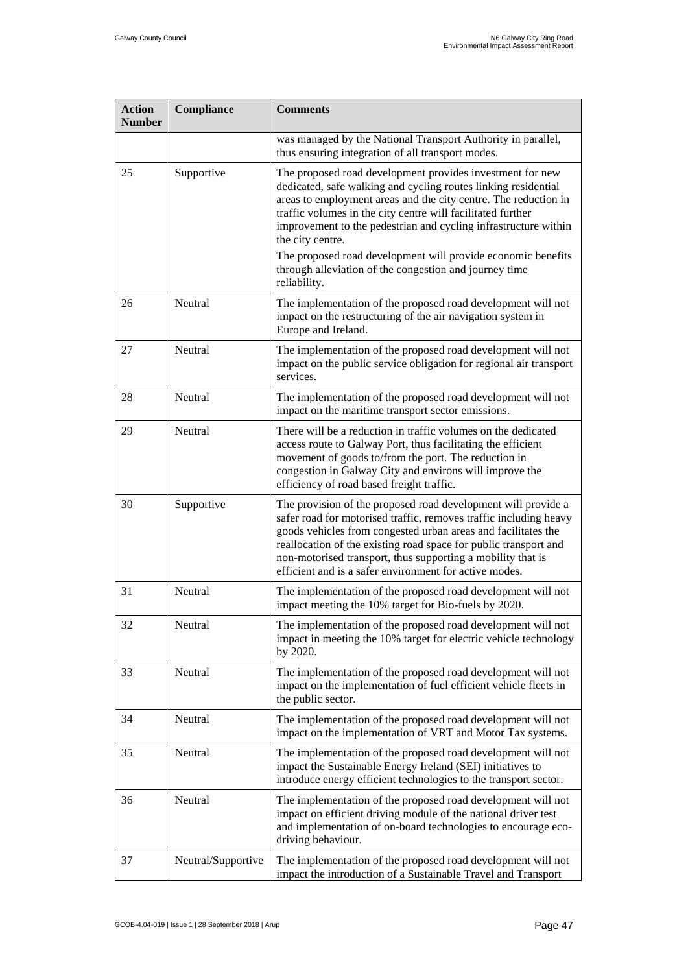| <b>Action</b><br><b>Number</b> | Compliance         | <b>Comments</b>                                                                                                                                                                                                                                                                                                                                                                                  |
|--------------------------------|--------------------|--------------------------------------------------------------------------------------------------------------------------------------------------------------------------------------------------------------------------------------------------------------------------------------------------------------------------------------------------------------------------------------------------|
|                                |                    | was managed by the National Transport Authority in parallel,<br>thus ensuring integration of all transport modes.                                                                                                                                                                                                                                                                                |
| 25                             | Supportive         | The proposed road development provides investment for new<br>dedicated, safe walking and cycling routes linking residential<br>areas to employment areas and the city centre. The reduction in<br>traffic volumes in the city centre will facilitated further<br>improvement to the pedestrian and cycling infrastructure within<br>the city centre.                                             |
|                                |                    | The proposed road development will provide economic benefits<br>through alleviation of the congestion and journey time<br>reliability.                                                                                                                                                                                                                                                           |
| 26                             | Neutral            | The implementation of the proposed road development will not<br>impact on the restructuring of the air navigation system in<br>Europe and Ireland.                                                                                                                                                                                                                                               |
| 27                             | Neutral            | The implementation of the proposed road development will not<br>impact on the public service obligation for regional air transport<br>services.                                                                                                                                                                                                                                                  |
| 28                             | Neutral            | The implementation of the proposed road development will not<br>impact on the maritime transport sector emissions.                                                                                                                                                                                                                                                                               |
| 29                             | Neutral            | There will be a reduction in traffic volumes on the dedicated<br>access route to Galway Port, thus facilitating the efficient<br>movement of goods to/from the port. The reduction in<br>congestion in Galway City and environs will improve the<br>efficiency of road based freight traffic.                                                                                                    |
| 30                             | Supportive         | The provision of the proposed road development will provide a<br>safer road for motorised traffic, removes traffic including heavy<br>goods vehicles from congested urban areas and facilitates the<br>reallocation of the existing road space for public transport and<br>non-motorised transport, thus supporting a mobility that is<br>efficient and is a safer environment for active modes. |
| 31                             | Neutral            | The implementation of the proposed road development will not<br>impact meeting the 10% target for Bio-fuels by 2020.                                                                                                                                                                                                                                                                             |
| 32                             | Neutral            | The implementation of the proposed road development will not<br>impact in meeting the 10% target for electric vehicle technology<br>by 2020.                                                                                                                                                                                                                                                     |
| 33                             | Neutral            | The implementation of the proposed road development will not<br>impact on the implementation of fuel efficient vehicle fleets in<br>the public sector.                                                                                                                                                                                                                                           |
| 34                             | Neutral            | The implementation of the proposed road development will not<br>impact on the implementation of VRT and Motor Tax systems.                                                                                                                                                                                                                                                                       |
| 35                             | Neutral            | The implementation of the proposed road development will not<br>impact the Sustainable Energy Ireland (SEI) initiatives to<br>introduce energy efficient technologies to the transport sector.                                                                                                                                                                                                   |
| 36                             | Neutral            | The implementation of the proposed road development will not<br>impact on efficient driving module of the national driver test<br>and implementation of on-board technologies to encourage eco-<br>driving behaviour.                                                                                                                                                                            |
| 37                             | Neutral/Supportive | The implementation of the proposed road development will not<br>impact the introduction of a Sustainable Travel and Transport                                                                                                                                                                                                                                                                    |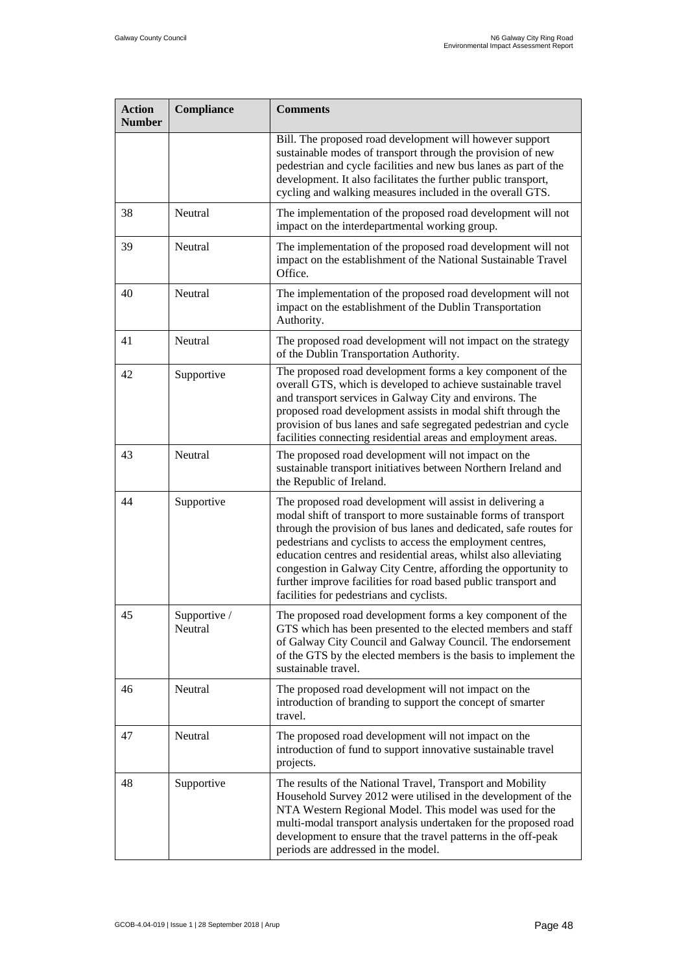| <b>Action</b><br><b>Number</b> | Compliance              | <b>Comments</b>                                                                                                                                                                                                                                                                                                                                                                                                                                                                                                     |
|--------------------------------|-------------------------|---------------------------------------------------------------------------------------------------------------------------------------------------------------------------------------------------------------------------------------------------------------------------------------------------------------------------------------------------------------------------------------------------------------------------------------------------------------------------------------------------------------------|
|                                |                         | Bill. The proposed road development will however support<br>sustainable modes of transport through the provision of new<br>pedestrian and cycle facilities and new bus lanes as part of the<br>development. It also facilitates the further public transport,<br>cycling and walking measures included in the overall GTS.                                                                                                                                                                                          |
| 38                             | Neutral                 | The implementation of the proposed road development will not<br>impact on the interdepartmental working group.                                                                                                                                                                                                                                                                                                                                                                                                      |
| 39                             | Neutral                 | The implementation of the proposed road development will not<br>impact on the establishment of the National Sustainable Travel<br>Office.                                                                                                                                                                                                                                                                                                                                                                           |
| 40                             | Neutral                 | The implementation of the proposed road development will not<br>impact on the establishment of the Dublin Transportation<br>Authority.                                                                                                                                                                                                                                                                                                                                                                              |
| 41                             | Neutral                 | The proposed road development will not impact on the strategy<br>of the Dublin Transportation Authority.                                                                                                                                                                                                                                                                                                                                                                                                            |
| 42                             | Supportive              | The proposed road development forms a key component of the<br>overall GTS, which is developed to achieve sustainable travel<br>and transport services in Galway City and environs. The<br>proposed road development assists in modal shift through the<br>provision of bus lanes and safe segregated pedestrian and cycle<br>facilities connecting residential areas and employment areas.                                                                                                                          |
| 43                             | Neutral                 | The proposed road development will not impact on the<br>sustainable transport initiatives between Northern Ireland and<br>the Republic of Ireland.                                                                                                                                                                                                                                                                                                                                                                  |
| 44                             | Supportive              | The proposed road development will assist in delivering a<br>modal shift of transport to more sustainable forms of transport<br>through the provision of bus lanes and dedicated, safe routes for<br>pedestrians and cyclists to access the employment centres,<br>education centres and residential areas, whilst also alleviating<br>congestion in Galway City Centre, affording the opportunity to<br>further improve facilities for road based public transport and<br>facilities for pedestrians and cyclists. |
| 45                             | Supportive /<br>Neutral | The proposed road development forms a key component of the<br>GTS which has been presented to the elected members and staff<br>of Galway City Council and Galway Council. The endorsement<br>of the GTS by the elected members is the basis to implement the<br>sustainable travel.                                                                                                                                                                                                                                 |
| 46                             | Neutral                 | The proposed road development will not impact on the<br>introduction of branding to support the concept of smarter<br>travel.                                                                                                                                                                                                                                                                                                                                                                                       |
| 47                             | Neutral                 | The proposed road development will not impact on the<br>introduction of fund to support innovative sustainable travel<br>projects.                                                                                                                                                                                                                                                                                                                                                                                  |
| 48                             | Supportive              | The results of the National Travel, Transport and Mobility<br>Household Survey 2012 were utilised in the development of the<br>NTA Western Regional Model. This model was used for the<br>multi-modal transport analysis undertaken for the proposed road<br>development to ensure that the travel patterns in the off-peak<br>periods are addressed in the model.                                                                                                                                                  |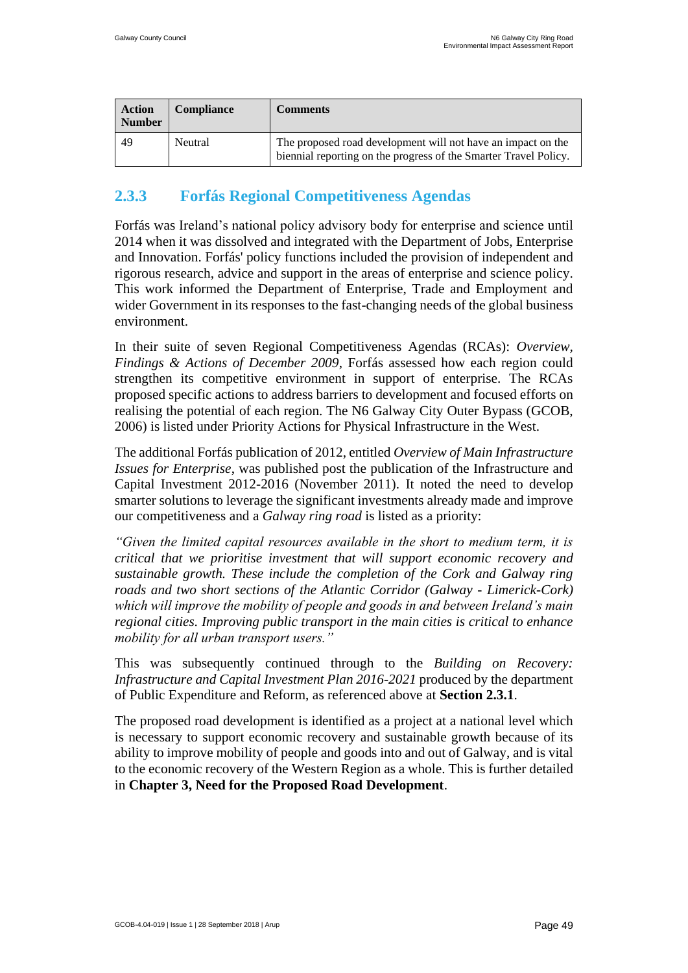| <b>Action</b><br><b>Number</b> | <b>Compliance</b> | <b>Comments</b>                                                                                                                  |
|--------------------------------|-------------------|----------------------------------------------------------------------------------------------------------------------------------|
| 49                             | Neutral           | The proposed road development will not have an impact on the<br>biennial reporting on the progress of the Smarter Travel Policy. |

### **2.3.3 Forfás Regional Competitiveness Agendas**

Forfás was Ireland's national policy advisory body for enterprise and science until 2014 when it was dissolved and integrated with the Department of Jobs, Enterprise and Innovation. Forfás' policy functions included the provision of independent and rigorous research, advice and support in the areas of enterprise and science policy. This work informed the Department of Enterprise, Trade and Employment and wider Government in its responses to the fast-changing needs of the global business environment.

In their suite of seven Regional Competitiveness Agendas (RCAs): *Overview, Findings & Actions of December 2009*, Forfás assessed how each region could strengthen its competitive environment in support of enterprise. The RCAs proposed specific actions to address barriers to development and focused efforts on realising the potential of each region. The N6 Galway City Outer Bypass (GCOB, 2006) is listed under Priority Actions for Physical Infrastructure in the West.

The additional Forfás publication of 2012, entitled *Overview of Main Infrastructure Issues for Enterprise*, was published post the publication of the Infrastructure and Capital Investment 2012-2016 (November 2011). It noted the need to develop smarter solutions to leverage the significant investments already made and improve our competitiveness and a *Galway ring road* is listed as a priority:

*"Given the limited capital resources available in the short to medium term, it is critical that we prioritise investment that will support economic recovery and sustainable growth. These include the completion of the Cork and Galway ring roads and two short sections of the Atlantic Corridor (Galway - Limerick-Cork) which will improve the mobility of people and goods in and between Ireland's main regional cities. Improving public transport in the main cities is critical to enhance mobility for all urban transport users."*

This was subsequently continued through to the *Building on Recovery: Infrastructure and Capital Investment Plan 2016-2021* produced by the department of Public Expenditure and Reform, as referenced above at **Section 2.3.1**.

The proposed road development is identified as a project at a national level which is necessary to support economic recovery and sustainable growth because of its ability to improve mobility of people and goods into and out of Galway, and is vital to the economic recovery of the Western Region as a whole. This is further detailed in **Chapter 3, Need for the Proposed Road Development**.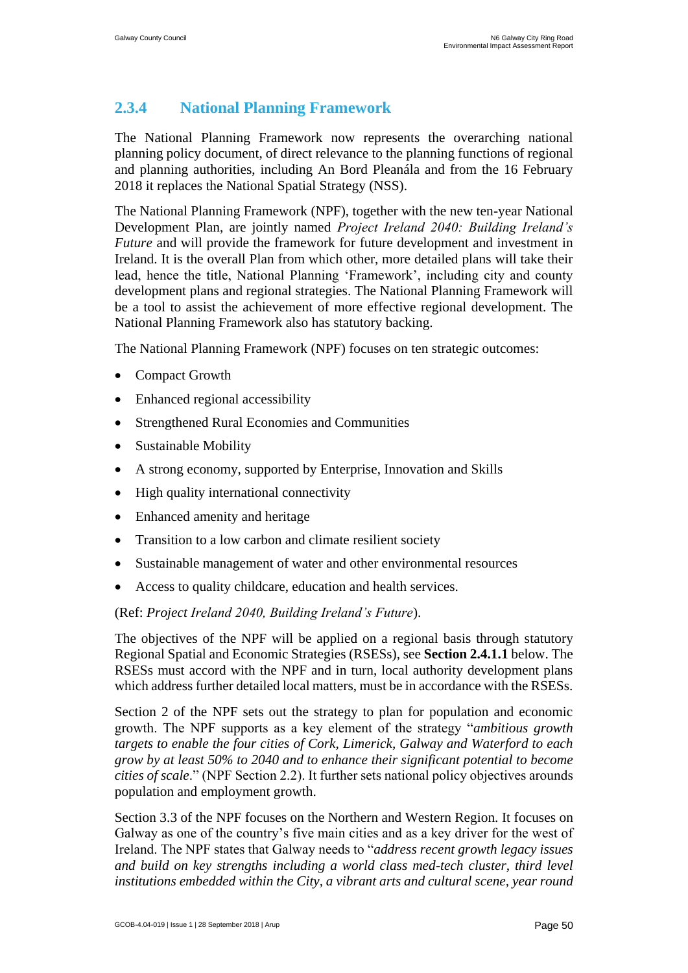### **2.3.4 National Planning Framework**

The National Planning Framework now represents the overarching national planning policy document, of direct relevance to the planning functions of regional and planning authorities, including An Bord Pleanála and from the 16 February 2018 it replaces the National Spatial Strategy (NSS).

The National Planning Framework (NPF), together with the new ten-year National Development Plan, are jointly named *Project Ireland 2040: Building Ireland's Future* and will provide the framework for future development and investment in Ireland. It is the overall Plan from which other, more detailed plans will take their lead, hence the title, National Planning 'Framework', including city and county development plans and regional strategies. The National Planning Framework will be a tool to assist the achievement of more effective regional development. The National Planning Framework also has statutory backing.

The National Planning Framework (NPF) focuses on ten strategic outcomes:

- Compact Growth
- Enhanced regional accessibility
- Strengthened Rural Economies and Communities
- Sustainable Mobility
- A strong economy, supported by Enterprise, Innovation and Skills
- High quality international connectivity
- Enhanced amenity and heritage
- Transition to a low carbon and climate resilient society
- Sustainable management of water and other environmental resources
- Access to quality childcare, education and health services.

#### (Ref: *Project Ireland 2040, Building Ireland's Future*).

The objectives of the NPF will be applied on a regional basis through statutory Regional Spatial and Economic Strategies (RSESs), see **Section 2.4.1.1** below. The RSESs must accord with the NPF and in turn, local authority development plans which address further detailed local matters, must be in accordance with the RSESs.

Section 2 of the NPF sets out the strategy to plan for population and economic growth. The NPF supports as a key element of the strategy "*ambitious growth targets to enable the four cities of Cork, Limerick, Galway and Waterford to each grow by at least 50% to 2040 and to enhance their significant potential to become cities of scale*." (NPF Section 2.2). It further sets national policy objectives arounds population and employment growth.

Section 3.3 of the NPF focuses on the Northern and Western Region. It focuses on Galway as one of the country's five main cities and as a key driver for the west of Ireland. The NPF states that Galway needs to "*address recent growth legacy issues and build on key strengths including a world class med-tech cluster, third level institutions embedded within the City, a vibrant arts and cultural scene, year round*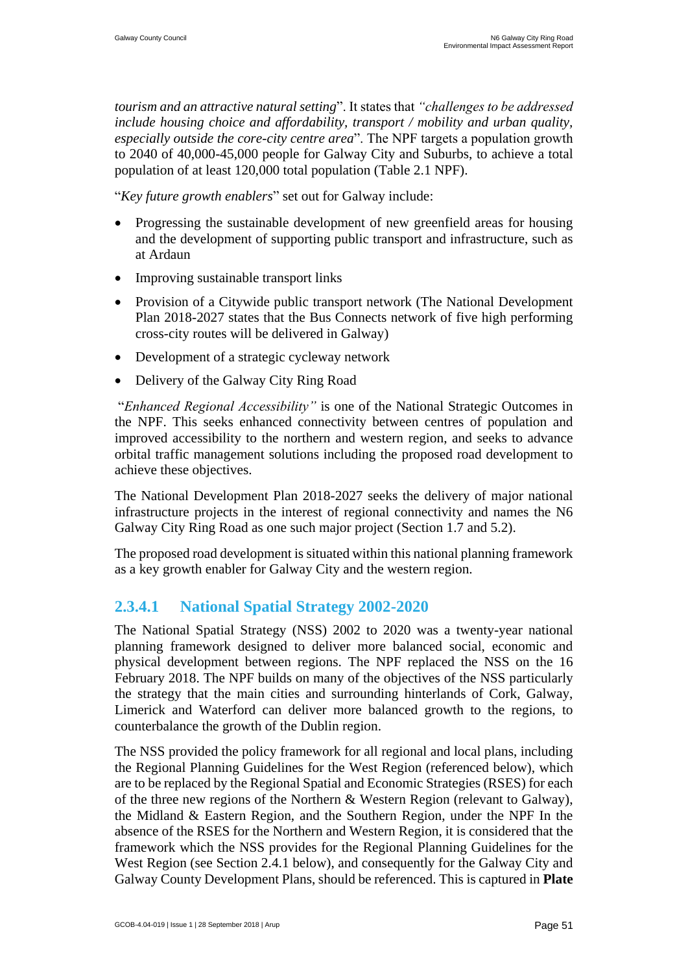*tourism and an attractive natural setting*". It states that *"challenges to be addressed include housing choice and affordability, transport / mobility and urban quality, especially outside the core-city centre area*". The NPF targets a population growth to 2040 of 40,000-45,000 people for Galway City and Suburbs, to achieve a total population of at least 120,000 total population (Table 2.1 NPF).

"*Key future growth enablers*" set out for Galway include:

- Progressing the sustainable development of new greenfield areas for housing and the development of supporting public transport and infrastructure, such as at Ardaun
- Improving sustainable transport links
- Provision of a Citywide public transport network (The National Development Plan 2018-2027 states that the Bus Connects network of five high performing cross-city routes will be delivered in Galway)
- Development of a strategic cycleway network
- Delivery of the Galway City Ring Road

"*Enhanced Regional Accessibility"* is one of the National Strategic Outcomes in the NPF. This seeks enhanced connectivity between centres of population and improved accessibility to the northern and western region, and seeks to advance orbital traffic management solutions including the proposed road development to achieve these objectives.

The National Development Plan 2018-2027 seeks the delivery of major national infrastructure projects in the interest of regional connectivity and names the N6 Galway City Ring Road as one such major project (Section 1.7 and 5.2).

The proposed road development is situated within this national planning framework as a key growth enabler for Galway City and the western region.

#### **2.3.4.1 National Spatial Strategy 2002-2020**

The National Spatial Strategy (NSS) 2002 to 2020 was a twenty-year national planning framework designed to deliver more balanced social, economic and physical development between regions. The NPF replaced the NSS on the 16 February 2018. The NPF builds on many of the objectives of the NSS particularly the strategy that the main cities and surrounding hinterlands of Cork, Galway, Limerick and Waterford can deliver more balanced growth to the regions, to counterbalance the growth of the Dublin region.

The NSS provided the policy framework for all regional and local plans, including the Regional Planning Guidelines for the West Region (referenced below), which are to be replaced by the Regional Spatial and Economic Strategies (RSES) for each of the three new regions of the Northern & Western Region (relevant to Galway), the Midland & Eastern Region, and the Southern Region, under the NPF In the absence of the RSES for the Northern and Western Region, it is considered that the framework which the NSS provides for the Regional Planning Guidelines for the West Region (see Section 2.4.1 below), and consequently for the Galway City and Galway County Development Plans, should be referenced. This is captured in **Plate**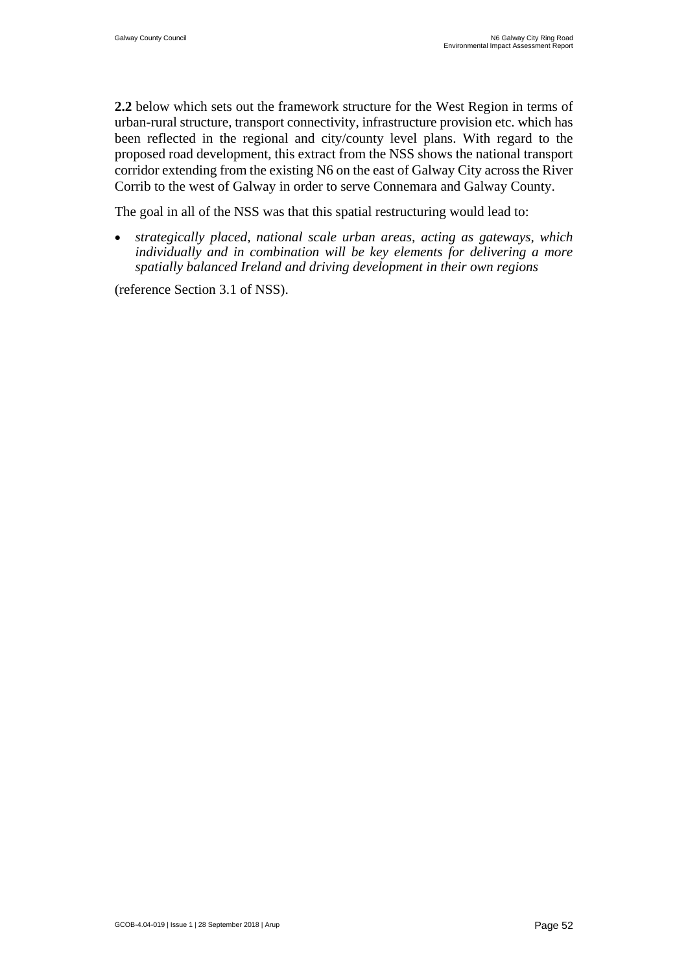**2.2** below which sets out the framework structure for the West Region in terms of urban-rural structure, transport connectivity, infrastructure provision etc. which has been reflected in the regional and city/county level plans. With regard to the proposed road development, this extract from the NSS shows the national transport corridor extending from the existing N6 on the east of Galway City across the River Corrib to the west of Galway in order to serve Connemara and Galway County.

The goal in all of the NSS was that this spatial restructuring would lead to:

 *strategically placed, national scale urban areas, acting as gateways, which individually and in combination will be key elements for delivering a more spatially balanced Ireland and driving development in their own regions*

(reference Section 3.1 of NSS).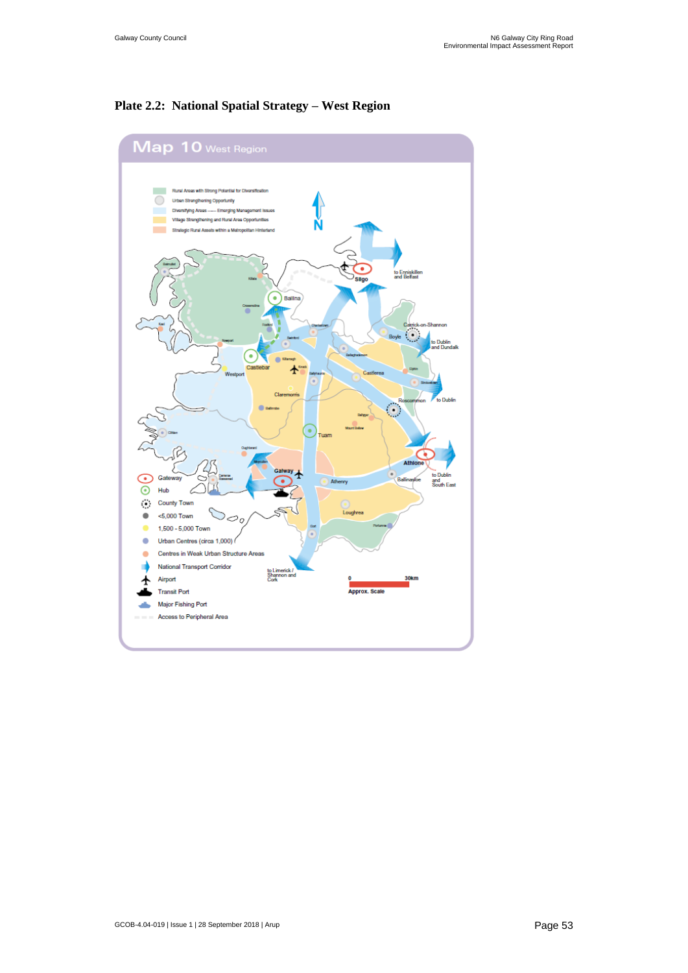#### **Plate 2.2: National Spatial Strategy – West Region**

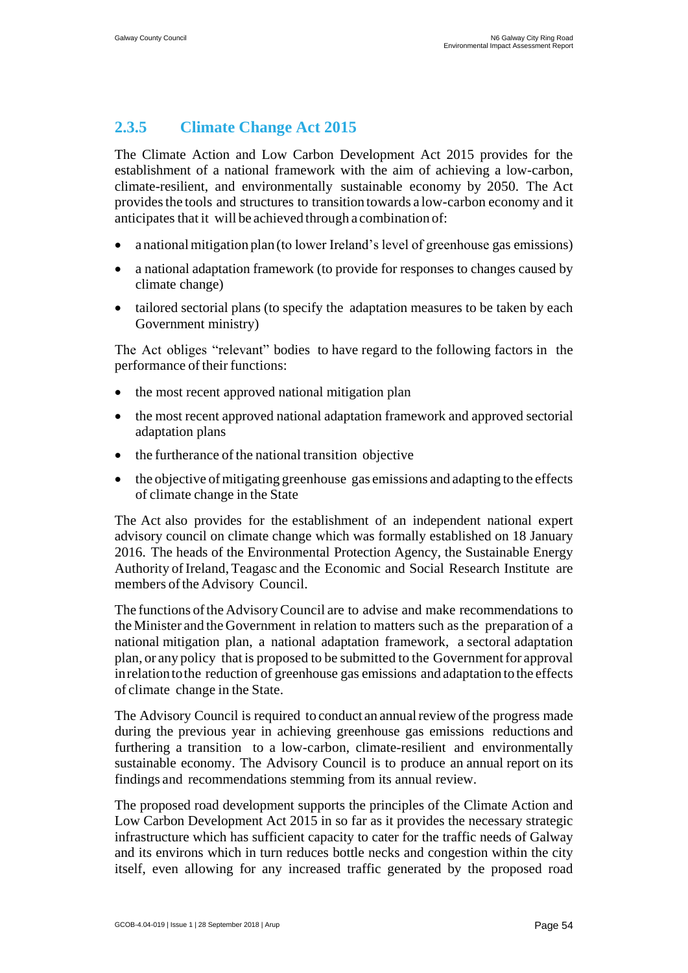### **2.3.5 Climate Change Act 2015**

The Climate Action and Low Carbon Development Act 2015 provides for the establishment of a national framework with the aim of achieving a low-carbon, climate-resilient, and environmentally sustainable economy by 2050. The Act provides the tools and structures to transition towards a low-carbon economy and it anticipates that it will be achieved through a combination of:

- a national mitigation plan (to lower Ireland's level of greenhouse gas emissions)
- a national adaptation framework (to provide for responses to changes caused by climate change)
- tailored sectorial plans (to specify the adaptation measures to be taken by each Government ministry)

The Act obliges "relevant" bodies to have regard to the following factors in the performance of their functions:

- the most recent approved national mitigation plan
- the most recent approved national adaptation framework and approved sectorial adaptation plans
- the furtherance of the national transition objective
- the objective of mitigating greenhouse gas emissions and adapting to the effects of climate change in the State

The Act also provides for the establishment of an independent national expert advisory council on climate change which was formally established on 18 January 2016. The heads of the Environmental Protection Agency, the Sustainable Energy Authority of Ireland, Teagasc and the Economic and Social Research Institute are members of the Advisory Council.

The functions ofthe AdvisoryCouncil are to advise and make recommendations to the Minister and the Government in relation to matters such as the preparation of a national mitigation plan, a national adaptation framework, a sectoral adaptation plan, or any policy that is proposed to be submitted to the Governmentfor approval inrelationtothe reduction of greenhouse gas emissions and adaptation to the effects of climate change in the State.

The Advisory Council is required to conduct an annualreview ofthe progress made during the previous year in achieving greenhouse gas emissions reductions and furthering a transition to a low-carbon, climate-resilient and environmentally sustainable economy. The Advisory Council is to produce an annual report on its findings and recommendations stemming from its annual review.

The proposed road development supports the principles of the Climate Action and Low Carbon Development Act 2015 in so far as it provides the necessary strategic infrastructure which has sufficient capacity to cater for the traffic needs of Galway and its environs which in turn reduces bottle necks and congestion within the city itself, even allowing for any increased traffic generated by the proposed road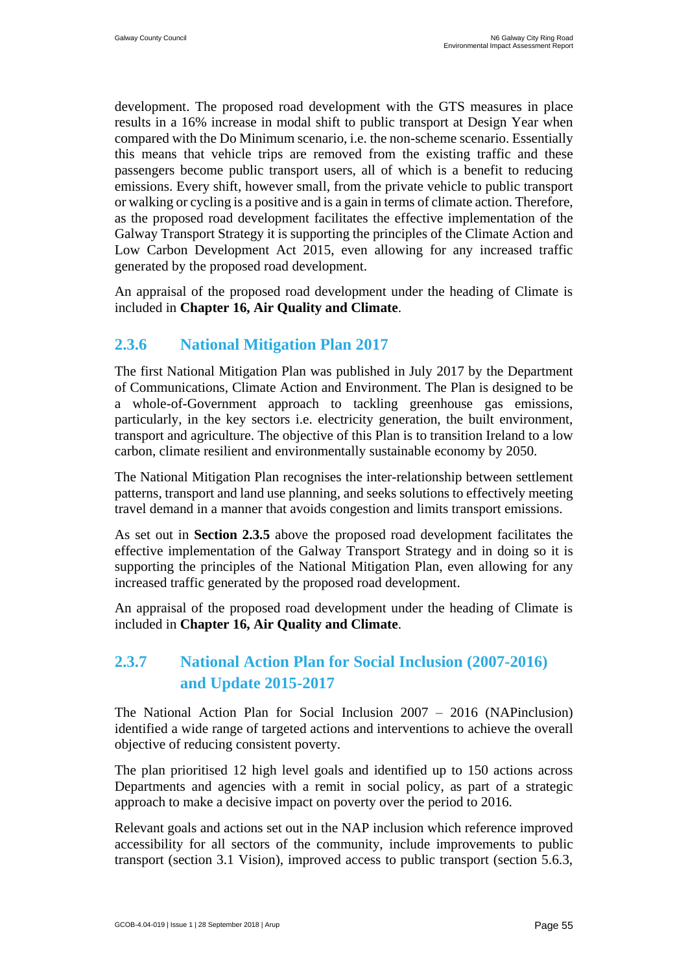development. The proposed road development with the GTS measures in place results in a 16% increase in modal shift to public transport at Design Year when compared with the Do Minimum scenario, i.e. the non-scheme scenario. Essentially this means that vehicle trips are removed from the existing traffic and these passengers become public transport users, all of which is a benefit to reducing emissions. Every shift, however small, from the private vehicle to public transport or walking or cycling is a positive and is a gain in terms of climate action. Therefore, as the proposed road development facilitates the effective implementation of the Galway Transport Strategy it is supporting the principles of the Climate Action and Low Carbon Development Act 2015, even allowing for any increased traffic generated by the proposed road development.

An appraisal of the proposed road development under the heading of Climate is included in **Chapter 16, Air Quality and Climate**.

#### **2.3.6 National Mitigation Plan 2017**

The first National Mitigation Plan was published in July 2017 by the Department of Communications, Climate Action and Environment. The Plan is designed to be a whole-of-Government approach to tackling greenhouse gas emissions, particularly, in the key sectors i.e. electricity generation, the built environment, transport and agriculture. The objective of this Plan is to transition Ireland to a low carbon, climate resilient and environmentally sustainable economy by 2050.

The National Mitigation Plan recognises the inter-relationship between settlement patterns, transport and land use planning, and seeks solutions to effectively meeting travel demand in a manner that avoids congestion and limits transport emissions.

As set out in **Section 2.3.5** above the proposed road development facilitates the effective implementation of the Galway Transport Strategy and in doing so it is supporting the principles of the National Mitigation Plan, even allowing for any increased traffic generated by the proposed road development.

An appraisal of the proposed road development under the heading of Climate is included in **Chapter 16, Air Quality and Climate**.

### **2.3.7 National Action Plan for Social Inclusion (2007-2016) and Update 2015-2017**

The National Action Plan for Social Inclusion 2007 – 2016 (NAPinclusion) identified a wide range of targeted actions and interventions to achieve the overall objective of reducing consistent poverty.

The plan prioritised 12 high level goals and identified up to 150 actions across Departments and agencies with a remit in social policy, as part of a strategic approach to make a decisive impact on poverty over the period to 2016.

Relevant goals and actions set out in the NAP inclusion which reference improved accessibility for all sectors of the community, include improvements to public transport (section 3.1 Vision), improved access to public transport (section 5.6.3,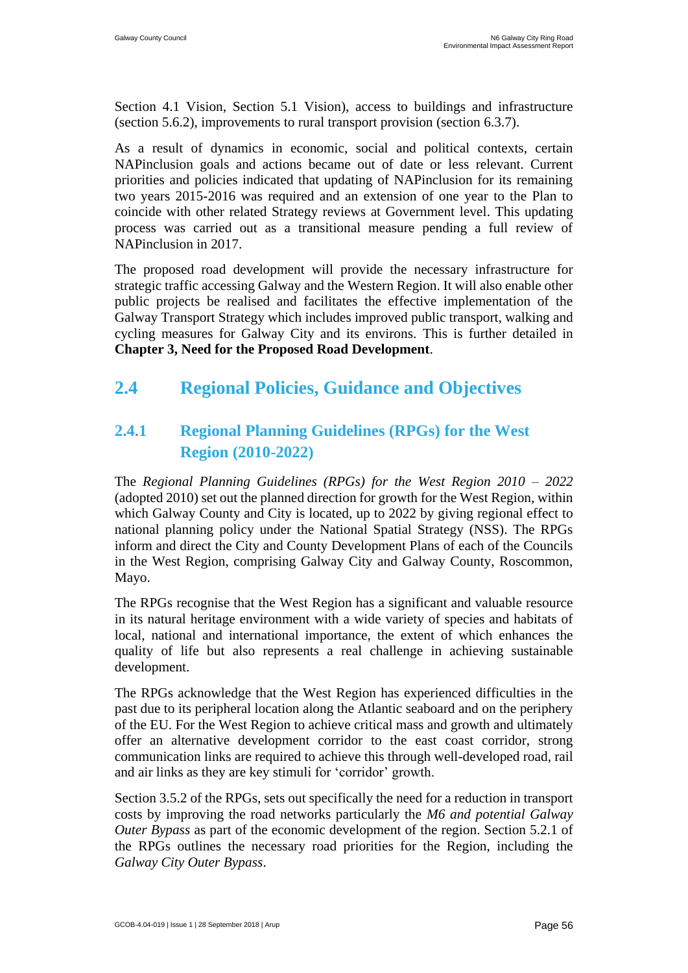Section 4.1 Vision, Section 5.1 Vision), access to buildings and infrastructure (section 5.6.2), improvements to rural transport provision (section 6.3.7).

As a result of dynamics in economic, social and political contexts, certain NAPinclusion goals and actions became out of date or less relevant. Current priorities and policies indicated that updating of NAPinclusion for its remaining two years 2015-2016 was required and an extension of one year to the Plan to coincide with other related Strategy reviews at Government level. This updating process was carried out as a transitional measure pending a full review of NAPinclusion in 2017.

The proposed road development will provide the necessary infrastructure for strategic traffic accessing Galway and the Western Region. It will also enable other public projects be realised and facilitates the effective implementation of the Galway Transport Strategy which includes improved public transport, walking and cycling measures for Galway City and its environs. This is further detailed in **Chapter 3, Need for the Proposed Road Development**.

# <span id="page-22-0"></span>**2.4 Regional Policies, Guidance and Objectives**

# **2.4.1 Regional Planning Guidelines (RPGs) for the West Region (2010-2022)**

The *Regional Planning Guidelines (RPGs) for the West Region 2010 – 2022* (adopted 2010) set out the planned direction for growth for the West Region, within which Galway County and City is located, up to 2022 by giving regional effect to national planning policy under the National Spatial Strategy (NSS). The RPGs inform and direct the City and County Development Plans of each of the Councils in the West Region, comprising Galway City and Galway County, Roscommon, Mayo.

The RPGs recognise that the West Region has a significant and valuable resource in its natural heritage environment with a wide variety of species and habitats of local, national and international importance, the extent of which enhances the quality of life but also represents a real challenge in achieving sustainable development.

The RPGs acknowledge that the West Region has experienced difficulties in the past due to its peripheral location along the Atlantic seaboard and on the periphery of the EU. For the West Region to achieve critical mass and growth and ultimately offer an alternative development corridor to the east coast corridor, strong communication links are required to achieve this through well-developed road, rail and air links as they are key stimuli for 'corridor' growth.

Section 3.5.2 of the RPGs, sets out specifically the need for a reduction in transport costs by improving the road networks particularly the *M6 and potential Galway Outer Bypass* as part of the economic development of the region. Section 5.2.1 of the RPGs outlines the necessary road priorities for the Region, including the *Galway City Outer Bypass*.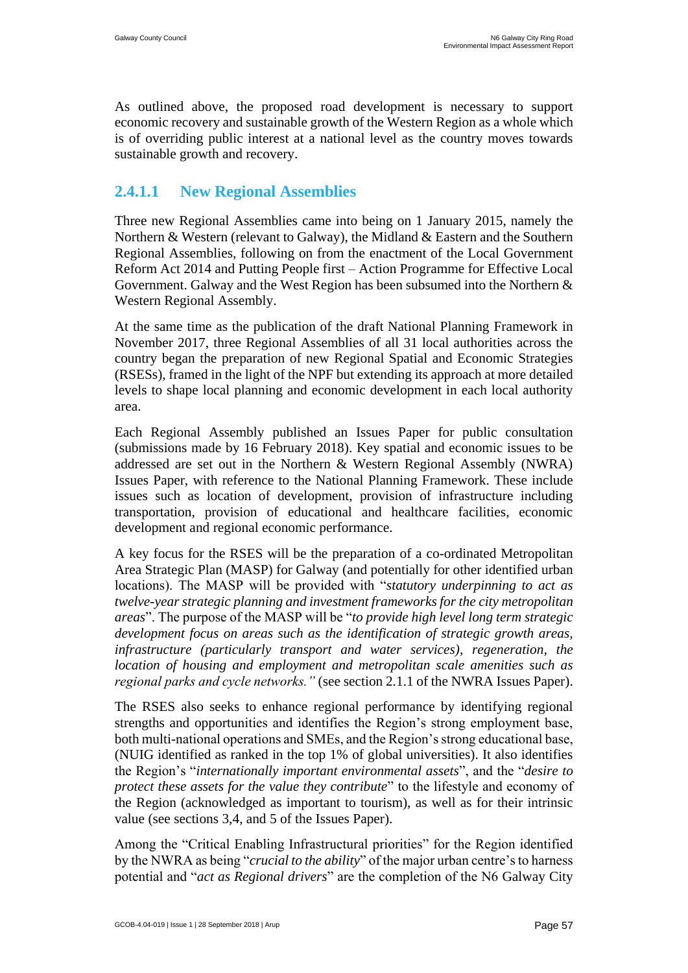As outlined above, the proposed road development is necessary to support economic recovery and sustainable growth of the Western Region as a whole which is of overriding public interest at a national level as the country moves towards sustainable growth and recovery.

#### **2.4.1.1 New Regional Assemblies**

Three new Regional Assemblies came into being on 1 January 2015, namely the Northern & Western (relevant to Galway), the Midland & Eastern and the Southern Regional Assemblies, following on from the enactment of the Local Government Reform Act 2014 and Putting People first – Action Programme for Effective Local Government. Galway and the West Region has been subsumed into the Northern & Western Regional Assembly.

At the same time as the publication of the draft National Planning Framework in November 2017, three Regional Assemblies of all 31 local authorities across the country began the preparation of new Regional Spatial and Economic Strategies (RSESs), framed in the light of the NPF but extending its approach at more detailed levels to shape local planning and economic development in each local authority area.

Each Regional Assembly published an Issues Paper for public consultation (submissions made by 16 February 2018). Key spatial and economic issues to be addressed are set out in the Northern & Western Regional Assembly (NWRA) Issues Paper, with reference to the National Planning Framework. These include issues such as location of development, provision of infrastructure including transportation, provision of educational and healthcare facilities, economic development and regional economic performance.

A key focus for the RSES will be the preparation of a co-ordinated Metropolitan Area Strategic Plan (MASP) for Galway (and potentially for other identified urban locations). The MASP will be provided with "*statutory underpinning to act as twelve-year strategic planning and investment frameworks for the city metropolitan areas*". The purpose of the MASP will be "*to provide high level long term strategic development focus on areas such as the identification of strategic growth areas, infrastructure (particularly transport and water services), regeneration, the location of housing and employment and metropolitan scale amenities such as regional parks and cycle networks."* (see section 2.1.1 of the NWRA Issues Paper).

The RSES also seeks to enhance regional performance by identifying regional strengths and opportunities and identifies the Region's strong employment base, both multi-national operations and SMEs, and the Region's strong educational base, (NUIG identified as ranked in the top 1% of global universities). It also identifies the Region's "*internationally important environmental assets*", and the "*desire to protect these assets for the value they contribute*" to the lifestyle and economy of the Region (acknowledged as important to tourism), as well as for their intrinsic value (see sections 3,4, and 5 of the Issues Paper).

Among the "Critical Enabling Infrastructural priorities" for the Region identified by the NWRA as being "*crucial to the ability*" of the major urban centre's to harness potential and "*act as Regional drivers*" are the completion of the N6 Galway City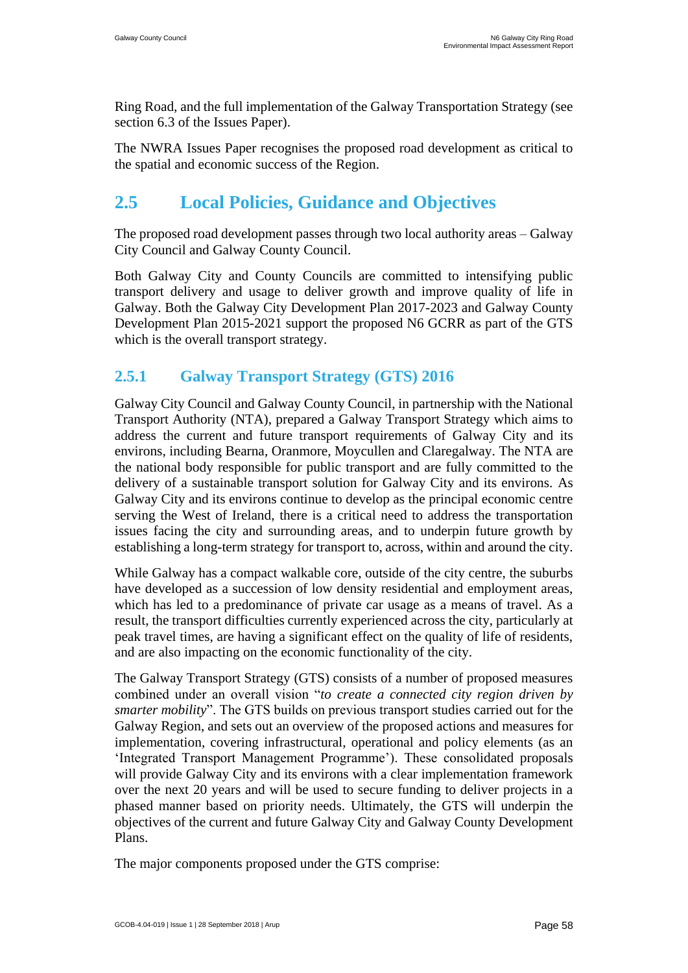Ring Road, and the full implementation of the Galway Transportation Strategy (see section 6.3 of the Issues Paper).

The NWRA Issues Paper recognises the proposed road development as critical to the spatial and economic success of the Region.

# <span id="page-24-0"></span>**2.5 Local Policies, Guidance and Objectives**

The proposed road development passes through two local authority areas – Galway City Council and Galway County Council.

Both Galway City and County Councils are committed to intensifying public transport delivery and usage to deliver growth and improve quality of life in Galway. Both the Galway City Development Plan 2017-2023 and Galway County Development Plan 2015-2021 support the proposed N6 GCRR as part of the GTS which is the overall transport strategy.

# **2.5.1 Galway Transport Strategy (GTS) 2016**

Galway City Council and Galway County Council, in partnership with the National Transport Authority (NTA), prepared a Galway Transport Strategy which aims to address the current and future transport requirements of Galway City and its environs, including Bearna, Oranmore, Moycullen and Claregalway. The NTA are the national body responsible for public transport and are fully committed to the delivery of a sustainable transport solution for Galway City and its environs. As Galway City and its environs continue to develop as the principal economic centre serving the West of Ireland, there is a critical need to address the transportation issues facing the city and surrounding areas, and to underpin future growth by establishing a long-term strategy for transport to, across, within and around the city.

While Galway has a compact walkable core, outside of the city centre, the suburbs have developed as a succession of low density residential and employment areas, which has led to a predominance of private car usage as a means of travel. As a result, the transport difficulties currently experienced across the city, particularly at peak travel times, are having a significant effect on the quality of life of residents, and are also impacting on the economic functionality of the city.

The Galway Transport Strategy (GTS) consists of a number of proposed measures combined under an overall vision "*to create a connected city region driven by smarter mobility*". The GTS builds on previous transport studies carried out for the Galway Region, and sets out an overview of the proposed actions and measures for implementation, covering infrastructural, operational and policy elements (as an 'Integrated Transport Management Programme'). These consolidated proposals will provide Galway City and its environs with a clear implementation framework over the next 20 years and will be used to secure funding to deliver projects in a phased manner based on priority needs. Ultimately, the GTS will underpin the objectives of the current and future Galway City and Galway County Development Plans.

The major components proposed under the GTS comprise: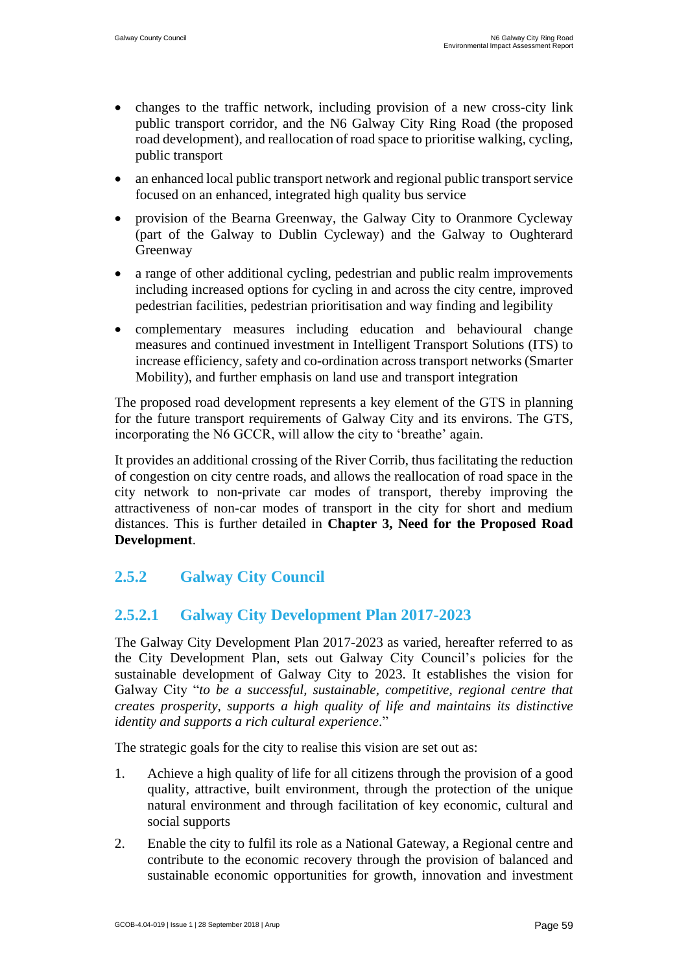- changes to the traffic network, including provision of a new cross-city link public transport corridor, and the N6 Galway City Ring Road (the proposed road development), and reallocation of road space to prioritise walking, cycling, public transport
- an enhanced local public transport network and regional public transport service focused on an enhanced, integrated high quality bus service
- provision of the Bearna Greenway, the Galway City to Oranmore Cycleway (part of the Galway to Dublin Cycleway) and the Galway to Oughterard Greenway
- a range of other additional cycling, pedestrian and public realm improvements including increased options for cycling in and across the city centre, improved pedestrian facilities, pedestrian prioritisation and way finding and legibility
- complementary measures including education and behavioural change measures and continued investment in Intelligent Transport Solutions (ITS) to increase efficiency, safety and co-ordination across transport networks (Smarter Mobility), and further emphasis on land use and transport integration

The proposed road development represents a key element of the GTS in planning for the future transport requirements of Galway City and its environs. The GTS, incorporating the N6 GCCR, will allow the city to 'breathe' again.

It provides an additional crossing of the River Corrib, thus facilitating the reduction of congestion on city centre roads, and allows the reallocation of road space in the city network to non-private car modes of transport, thereby improving the attractiveness of non-car modes of transport in the city for short and medium distances. This is further detailed in **Chapter 3, Need for the Proposed Road Development**.

# **2.5.2 Galway City Council**

# **2.5.2.1 Galway City Development Plan 2017-2023**

The Galway City Development Plan 2017-2023 as varied, hereafter referred to as the City Development Plan, sets out Galway City Council's policies for the sustainable development of Galway City to 2023. It establishes the vision for Galway City "*to be a successful, sustainable, competitive, regional centre that creates prosperity, supports a high quality of life and maintains its distinctive identity and supports a rich cultural experience*."

The strategic goals for the city to realise this vision are set out as:

- 1. Achieve a high quality of life for all citizens through the provision of a good quality, attractive, built environment, through the protection of the unique natural environment and through facilitation of key economic, cultural and social supports
- 2. Enable the city to fulfil its role as a National Gateway, a Regional centre and contribute to the economic recovery through the provision of balanced and sustainable economic opportunities for growth, innovation and investment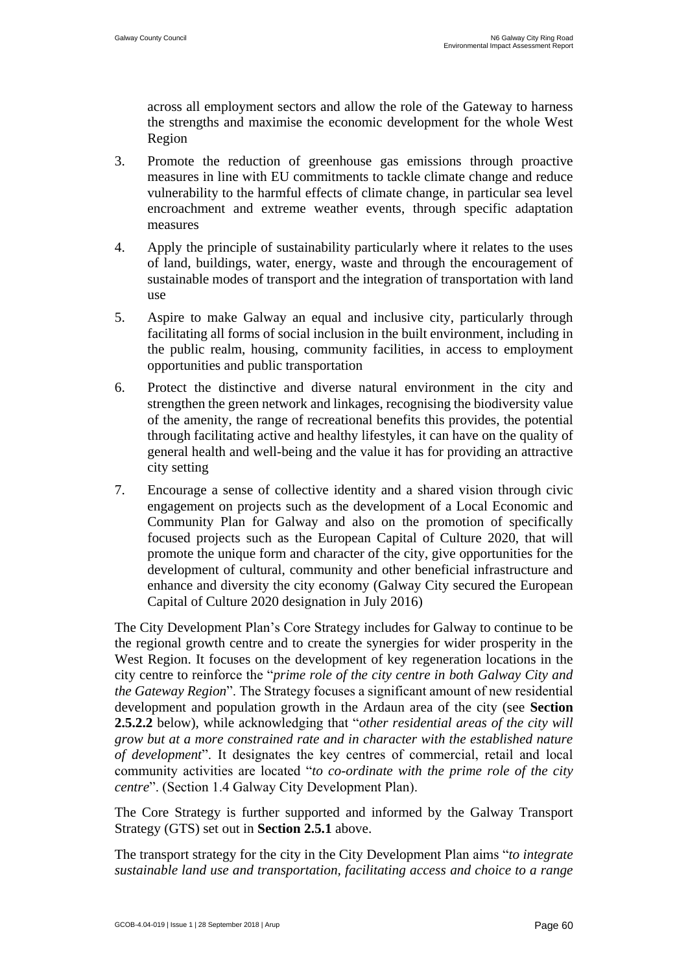across all employment sectors and allow the role of the Gateway to harness the strengths and maximise the economic development for the whole West Region

- 3. Promote the reduction of greenhouse gas emissions through proactive measures in line with EU commitments to tackle climate change and reduce vulnerability to the harmful effects of climate change, in particular sea level encroachment and extreme weather events, through specific adaptation measures
- 4. Apply the principle of sustainability particularly where it relates to the uses of land, buildings, water, energy, waste and through the encouragement of sustainable modes of transport and the integration of transportation with land use
- 5. Aspire to make Galway an equal and inclusive city, particularly through facilitating all forms of social inclusion in the built environment, including in the public realm, housing, community facilities, in access to employment opportunities and public transportation
- 6. Protect the distinctive and diverse natural environment in the city and strengthen the green network and linkages, recognising the biodiversity value of the amenity, the range of recreational benefits this provides, the potential through facilitating active and healthy lifestyles, it can have on the quality of general health and well-being and the value it has for providing an attractive city setting
- 7. Encourage a sense of collective identity and a shared vision through civic engagement on projects such as the development of a Local Economic and Community Plan for Galway and also on the promotion of specifically focused projects such as the European Capital of Culture 2020, that will promote the unique form and character of the city, give opportunities for the development of cultural, community and other beneficial infrastructure and enhance and diversity the city economy (Galway City secured the European Capital of Culture 2020 designation in July 2016)

The City Development Plan's Core Strategy includes for Galway to continue to be the regional growth centre and to create the synergies for wider prosperity in the West Region. It focuses on the development of key regeneration locations in the city centre to reinforce the "*prime role of the city centre in both Galway City and the Gateway Region*". The Strategy focuses a significant amount of new residential development and population growth in the Ardaun area of the city (see **Section 2.5.2.2** below), while acknowledging that "*other residential areas of the city will grow but at a more constrained rate and in character with the established nature of development*". It designates the key centres of commercial, retail and local community activities are located "*to co-ordinate with the prime role of the city centre*". (Section 1.4 Galway City Development Plan).

The Core Strategy is further supported and informed by the Galway Transport Strategy (GTS) set out in **Section 2.5.1** above.

The transport strategy for the city in the City Development Plan aims "*to integrate sustainable land use and transportation, facilitating access and choice to a range*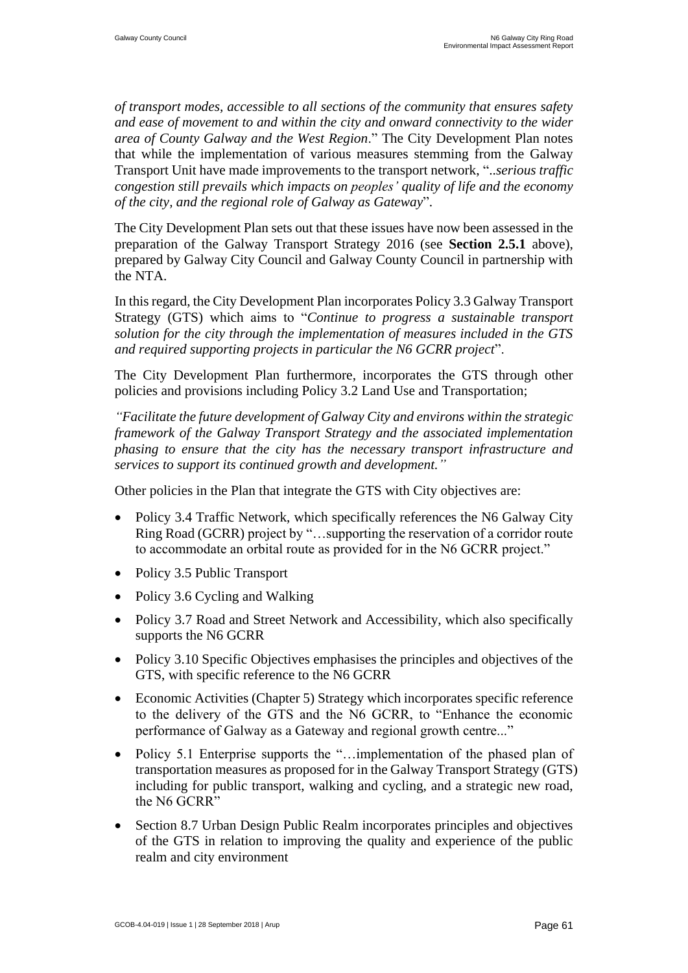*of transport modes, accessible to all sections of the community that ensures safety and ease of movement to and within the city and onward connectivity to the wider area of County Galway and the West Region*." The City Development Plan notes that while the implementation of various measures stemming from the Galway Transport Unit have made improvements to the transport network, "..*serious traffic congestion still prevails which impacts on peoples' quality of life and the economy of the city, and the regional role of Galway as Gateway*".

The City Development Plan sets out that these issues have now been assessed in the preparation of the Galway Transport Strategy 2016 (see **Section 2.5.1** above), prepared by Galway City Council and Galway County Council in partnership with the NTA.

In this regard, the City Development Plan incorporates Policy 3.3 Galway Transport Strategy (GTS) which aims to "*Continue to progress a sustainable transport solution for the city through the implementation of measures included in the GTS and required supporting projects in particular the N6 GCRR project*".

The City Development Plan furthermore, incorporates the GTS through other policies and provisions including Policy 3.2 Land Use and Transportation;

*"Facilitate the future development of Galway City and environs within the strategic framework of the Galway Transport Strategy and the associated implementation phasing to ensure that the city has the necessary transport infrastructure and services to support its continued growth and development."*

Other policies in the Plan that integrate the GTS with City objectives are:

- Policy 3.4 Traffic Network, which specifically references the N6 Galway City Ring Road (GCRR) project by "…supporting the reservation of a corridor route to accommodate an orbital route as provided for in the N6 GCRR project."
- Policy 3.5 Public Transport
- Policy 3.6 Cycling and Walking
- Policy 3.7 Road and Street Network and Accessibility, which also specifically supports the N6 GCRR
- Policy 3.10 Specific Objectives emphasises the principles and objectives of the GTS, with specific reference to the N6 GCRR
- Economic Activities (Chapter 5) Strategy which incorporates specific reference to the delivery of the GTS and the N6 GCRR, to "Enhance the economic performance of Galway as a Gateway and regional growth centre..."
- Policy 5.1 Enterprise supports the "...implementation of the phased plan of transportation measures as proposed for in the Galway Transport Strategy (GTS) including for public transport, walking and cycling, and a strategic new road, the N6 GCRR"
- Section 8.7 Urban Design Public Realm incorporates principles and objectives of the GTS in relation to improving the quality and experience of the public realm and city environment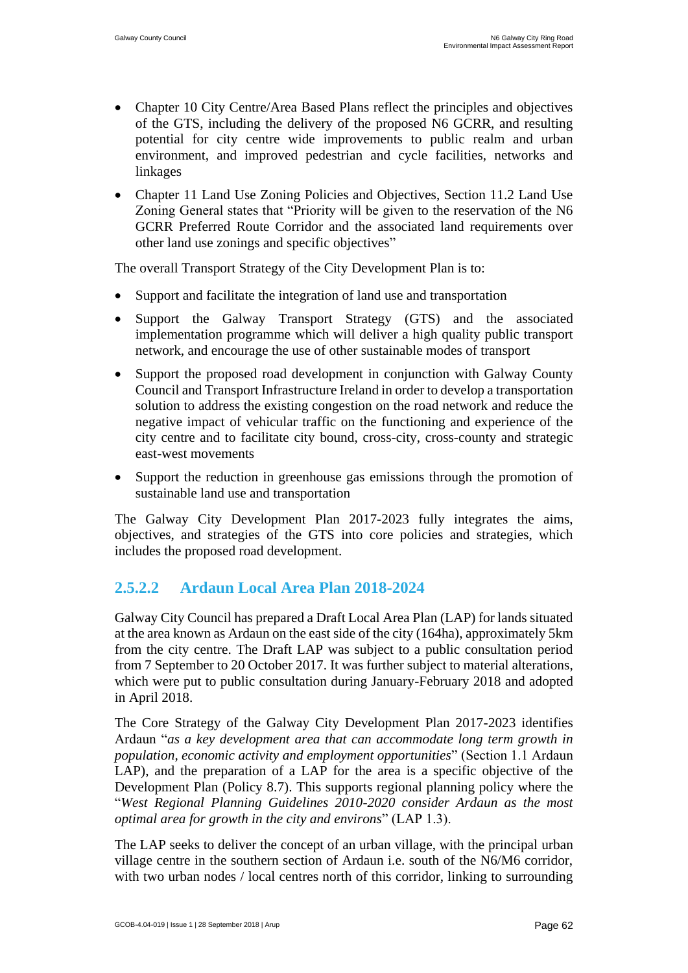- Chapter 10 City Centre/Area Based Plans reflect the principles and objectives of the GTS, including the delivery of the proposed N6 GCRR, and resulting potential for city centre wide improvements to public realm and urban environment, and improved pedestrian and cycle facilities, networks and linkages
- Chapter 11 Land Use Zoning Policies and Objectives, Section 11.2 Land Use Zoning General states that "Priority will be given to the reservation of the N6 GCRR Preferred Route Corridor and the associated land requirements over other land use zonings and specific objectives"

The overall Transport Strategy of the City Development Plan is to:

- Support and facilitate the integration of land use and transportation
- Support the Galway Transport Strategy (GTS) and the associated implementation programme which will deliver a high quality public transport network, and encourage the use of other sustainable modes of transport
- Support the proposed road development in conjunction with Galway County Council and Transport Infrastructure Ireland in order to develop a transportation solution to address the existing congestion on the road network and reduce the negative impact of vehicular traffic on the functioning and experience of the city centre and to facilitate city bound, cross-city, cross-county and strategic east-west movements
- Support the reduction in greenhouse gas emissions through the promotion of sustainable land use and transportation

The Galway City Development Plan 2017-2023 fully integrates the aims, objectives, and strategies of the GTS into core policies and strategies, which includes the proposed road development.

### **2.5.2.2 Ardaun Local Area Plan 2018-2024**

Galway City Council has prepared a Draft Local Area Plan (LAP) for lands situated at the area known as Ardaun on the east side of the city (164ha), approximately 5km from the city centre. The Draft LAP was subject to a public consultation period from 7 September to 20 October 2017. It was further subject to material alterations, which were put to public consultation during January-February 2018 and adopted in April 2018.

The Core Strategy of the Galway City Development Plan 2017-2023 identifies Ardaun "*as a key development area that can accommodate long term growth in population, economic activity and employment opportunities*" (Section 1.1 Ardaun LAP), and the preparation of a LAP for the area is a specific objective of the Development Plan (Policy 8.7). This supports regional planning policy where the "*West Regional Planning Guidelines 2010-2020 consider Ardaun as the most optimal area for growth in the city and environs*" (LAP 1.3).

The LAP seeks to deliver the concept of an urban village, with the principal urban village centre in the southern section of Ardaun i.e. south of the N6/M6 corridor, with two urban nodes / local centres north of this corridor, linking to surrounding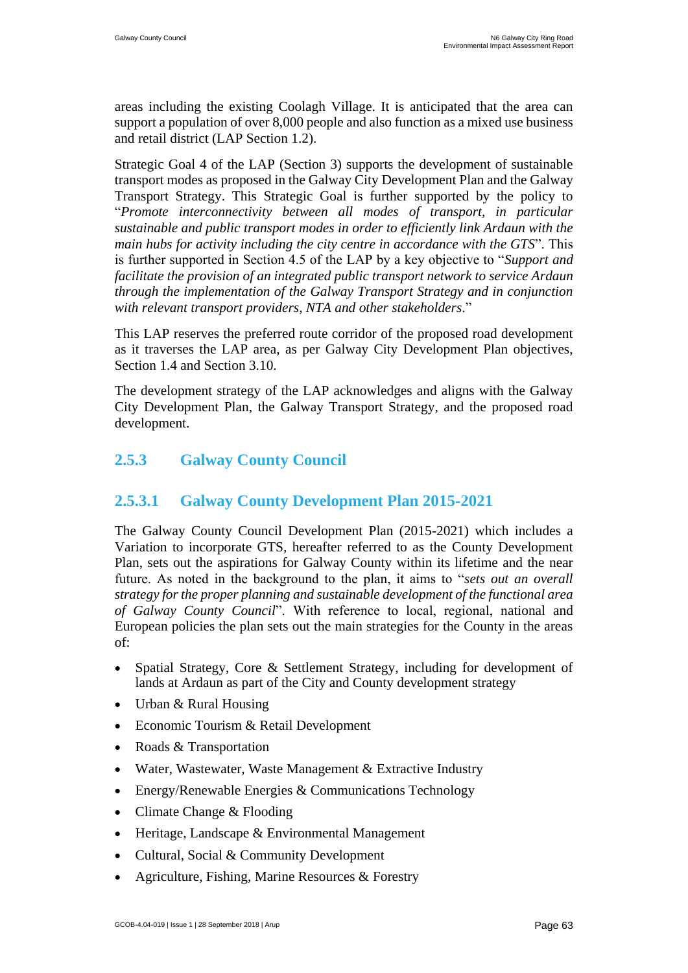areas including the existing Coolagh Village. It is anticipated that the area can support a population of over 8,000 people and also function as a mixed use business and retail district (LAP Section 1.2).

Strategic Goal 4 of the LAP (Section 3) supports the development of sustainable transport modes as proposed in the Galway City Development Plan and the Galway Transport Strategy. This Strategic Goal is further supported by the policy to "*Promote interconnectivity between all modes of transport, in particular sustainable and public transport modes in order to efficiently link Ardaun with the main hubs for activity including the city centre in accordance with the GTS*". This is further supported in Section 4.5 of the LAP by a key objective to "*Support and facilitate the provision of an integrated public transport network to service Ardaun through the implementation of the Galway Transport Strategy and in conjunction with relevant transport providers, NTA and other stakeholders*."

This LAP reserves the preferred route corridor of the proposed road development as it traverses the LAP area, as per Galway City Development Plan objectives, Section 1.4 and Section 3.10.

The development strategy of the LAP acknowledges and aligns with the Galway City Development Plan, the Galway Transport Strategy, and the proposed road development.

### **2.5.3 Galway County Council**

### **2.5.3.1 Galway County Development Plan 2015-2021**

The Galway County Council Development Plan (2015-2021) which includes a Variation to incorporate GTS, hereafter referred to as the County Development Plan, sets out the aspirations for Galway County within its lifetime and the near future. As noted in the background to the plan, it aims to "*sets out an overall strategy for the proper planning and sustainable development of the functional area of Galway County Council*". With reference to local, regional, national and European policies the plan sets out the main strategies for the County in the areas of:

- Spatial Strategy, Core & Settlement Strategy, including for development of lands at Ardaun as part of the City and County development strategy
- Urban & Rural Housing
- Economic Tourism & Retail Development
- Roads & Transportation
- Water, Wastewater, Waste Management & Extractive Industry
- Energy/Renewable Energies & Communications Technology
- Climate Change & Flooding
- Heritage, Landscape & Environmental Management
- Cultural, Social & Community Development
- Agriculture, Fishing, Marine Resources & Forestry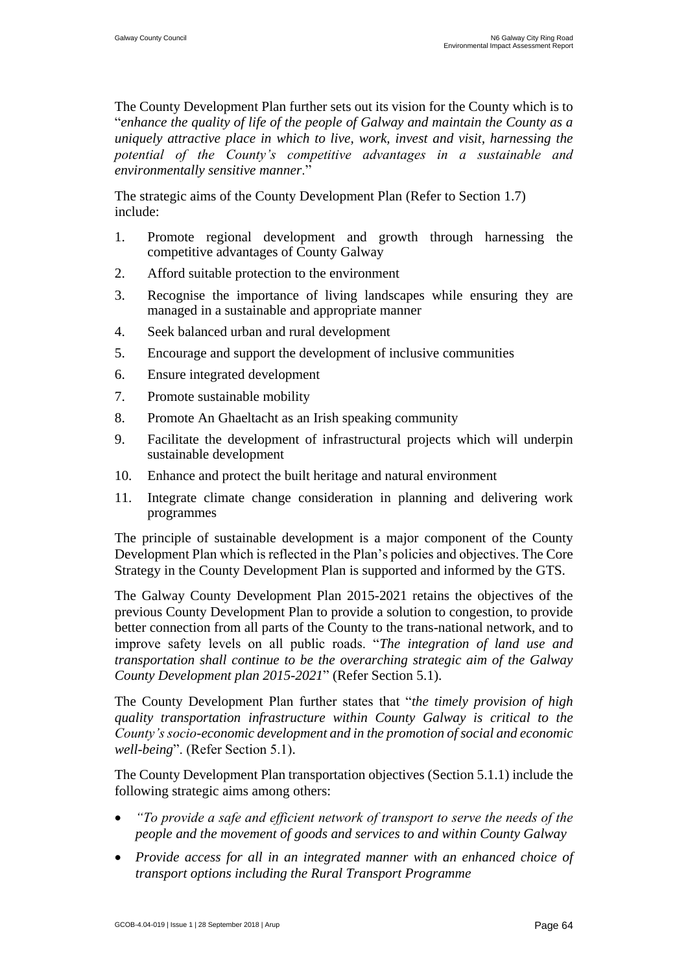The County Development Plan further sets out its vision for the County which is to "*enhance the quality of life of the people of Galway and maintain the County as a uniquely attractive place in which to live, work, invest and visit, harnessing the potential of the County's competitive advantages in a sustainable and environmentally sensitive manner*."

The strategic aims of the County Development Plan (Refer to Section 1.7) include:

- 1. Promote regional development and growth through harnessing the competitive advantages of County Galway
- 2. Afford suitable protection to the environment
- 3. Recognise the importance of living landscapes while ensuring they are managed in a sustainable and appropriate manner
- 4. Seek balanced urban and rural development
- 5. Encourage and support the development of inclusive communities
- 6. Ensure integrated development
- 7. Promote sustainable mobility
- 8. Promote An Ghaeltacht as an Irish speaking community
- 9. Facilitate the development of infrastructural projects which will underpin sustainable development
- 10. Enhance and protect the built heritage and natural environment
- 11. Integrate climate change consideration in planning and delivering work programmes

The principle of sustainable development is a major component of the County Development Plan which is reflected in the Plan's policies and objectives. The Core Strategy in the County Development Plan is supported and informed by the GTS.

The Galway County Development Plan 2015-2021 retains the objectives of the previous County Development Plan to provide a solution to congestion, to provide better connection from all parts of the County to the trans-national network, and to improve safety levels on all public roads. "*The integration of land use and transportation shall continue to be the overarching strategic aim of the Galway County Development plan 2015-2021*" (Refer Section 5.1).

The County Development Plan further states that "*the timely provision of high quality transportation infrastructure within County Galway is critical to the County's socio-economic development and in the promotion of social and economic well-being*". (Refer Section 5.1).

The County Development Plan transportation objectives (Section 5.1.1) include the following strategic aims among others:

- *"To provide a safe and efficient network of transport to serve the needs of the people and the movement of goods and services to and within County Galway*
- *Provide access for all in an integrated manner with an enhanced choice of transport options including the Rural Transport Programme*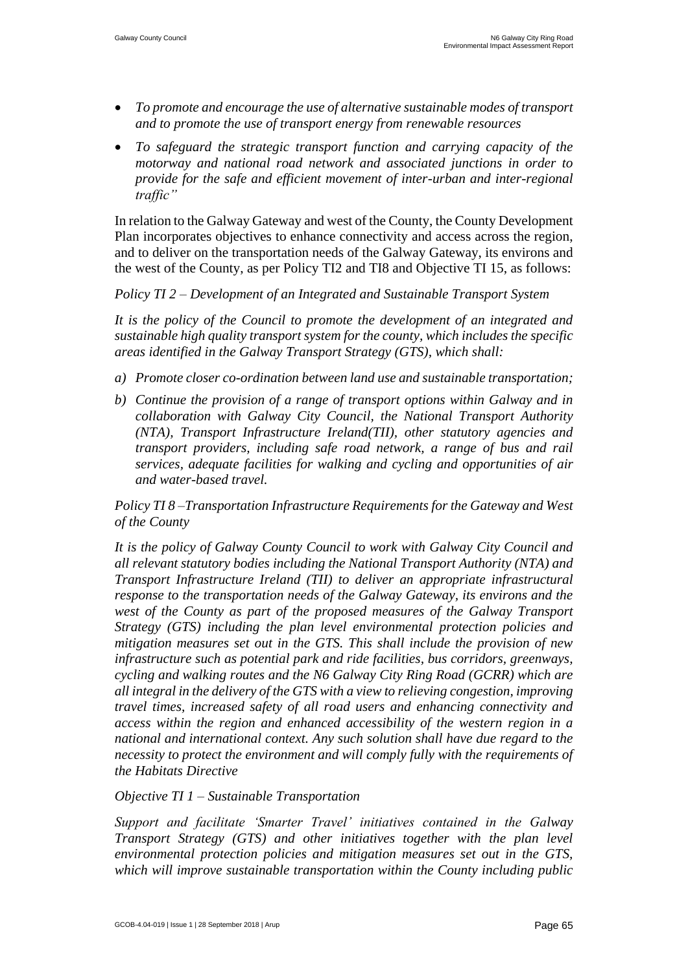- *To promote and encourage the use of alternative sustainable modes of transport and to promote the use of transport energy from renewable resources*
- *To safeguard the strategic transport function and carrying capacity of the motorway and national road network and associated junctions in order to provide for the safe and efficient movement of inter-urban and inter-regional traffic"*

In relation to the Galway Gateway and west of the County, the County Development Plan incorporates objectives to enhance connectivity and access across the region, and to deliver on the transportation needs of the Galway Gateway, its environs and the west of the County, as per Policy TI2 and TI8 and Objective TI 15, as follows:

*Policy TI 2 – Development of an Integrated and Sustainable Transport System*

*It is the policy of the Council to promote the development of an integrated and sustainable high quality transport system for the county, which includes the specific areas identified in the Galway Transport Strategy (GTS), which shall:*

- *a) Promote closer co-ordination between land use and sustainable transportation;*
- *b) Continue the provision of a range of transport options within Galway and in collaboration with Galway City Council, the National Transport Authority (NTA), Transport Infrastructure Ireland(TII), other statutory agencies and transport providers, including safe road network, a range of bus and rail services, adequate facilities for walking and cycling and opportunities of air and water-based travel.*

*Policy TI 8 –Transportation Infrastructure Requirements for the Gateway and West of the County*

*It is the policy of Galway County Council to work with Galway City Council and all relevant statutory bodies including the National Transport Authority (NTA) and Transport Infrastructure Ireland (TII) to deliver an appropriate infrastructural response to the transportation needs of the Galway Gateway, its environs and the west of the County as part of the proposed measures of the Galway Transport Strategy (GTS) including the plan level environmental protection policies and mitigation measures set out in the GTS. This shall include the provision of new infrastructure such as potential park and ride facilities, bus corridors, greenways, cycling and walking routes and the N6 Galway City Ring Road (GCRR) which are all integral in the delivery of the GTS with a view to relieving congestion, improving travel times, increased safety of all road users and enhancing connectivity and access within the region and enhanced accessibility of the western region in a national and international context. Any such solution shall have due regard to the necessity to protect the environment and will comply fully with the requirements of the Habitats Directive*

*Objective TI 1 – Sustainable Transportation*

*Support and facilitate 'Smarter Travel' initiatives contained in the Galway Transport Strategy (GTS) and other initiatives together with the plan level environmental protection policies and mitigation measures set out in the GTS, which will improve sustainable transportation within the County including public*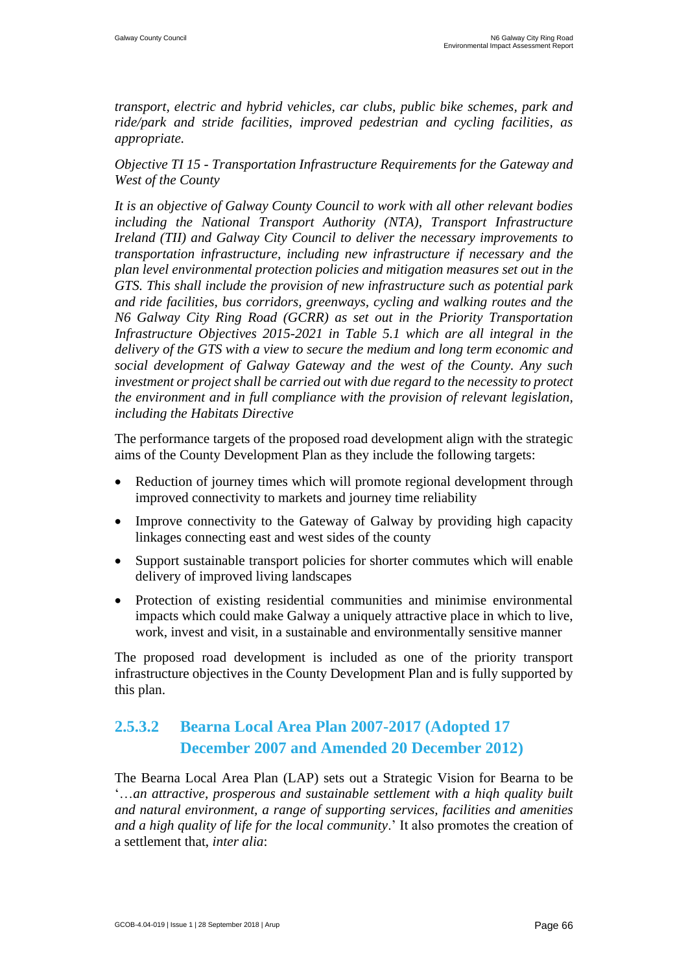*transport, electric and hybrid vehicles, car clubs, public bike schemes, park and ride/park and stride facilities, improved pedestrian and cycling facilities, as appropriate.* 

*Objective TI 15 - Transportation Infrastructure Requirements for the Gateway and West of the County* 

*It is an objective of Galway County Council to work with all other relevant bodies including the National Transport Authority (NTA), Transport Infrastructure Ireland (TII) and Galway City Council to deliver the necessary improvements to transportation infrastructure, including new infrastructure if necessary and the plan level environmental protection policies and mitigation measures set out in the GTS. This shall include the provision of new infrastructure such as potential park and ride facilities, bus corridors, greenways, cycling and walking routes and the N6 Galway City Ring Road (GCRR) as set out in the Priority Transportation Infrastructure Objectives 2015-2021 in Table 5.1 which are all integral in the delivery of the GTS with a view to secure the medium and long term economic and social development of Galway Gateway and the west of the County. Any such investment or project shall be carried out with due regard to the necessity to protect the environment and in full compliance with the provision of relevant legislation, including the Habitats Directive*

The performance targets of the proposed road development align with the strategic aims of the County Development Plan as they include the following targets:

- Reduction of journey times which will promote regional development through improved connectivity to markets and journey time reliability
- Improve connectivity to the Gateway of Galway by providing high capacity linkages connecting east and west sides of the county
- Support sustainable transport policies for shorter commutes which will enable delivery of improved living landscapes
- Protection of existing residential communities and minimise environmental impacts which could make Galway a uniquely attractive place in which to live, work, invest and visit, in a sustainable and environmentally sensitive manner

The proposed road development is included as one of the priority transport infrastructure objectives in the County Development Plan and is fully supported by this plan.

# **2.5.3.2 Bearna Local Area Plan 2007-2017 (Adopted 17 December 2007 and Amended 20 December 2012)**

The Bearna Local Area Plan (LAP) sets out a Strategic Vision for Bearna to be '…*an attractive, prosperous and sustainable settlement with a hiqh quality built and natural environment, a range of supporting services, facilities and amenities and a high quality of life for the local community*.' It also promotes the creation of a settlement that, *inter alia*: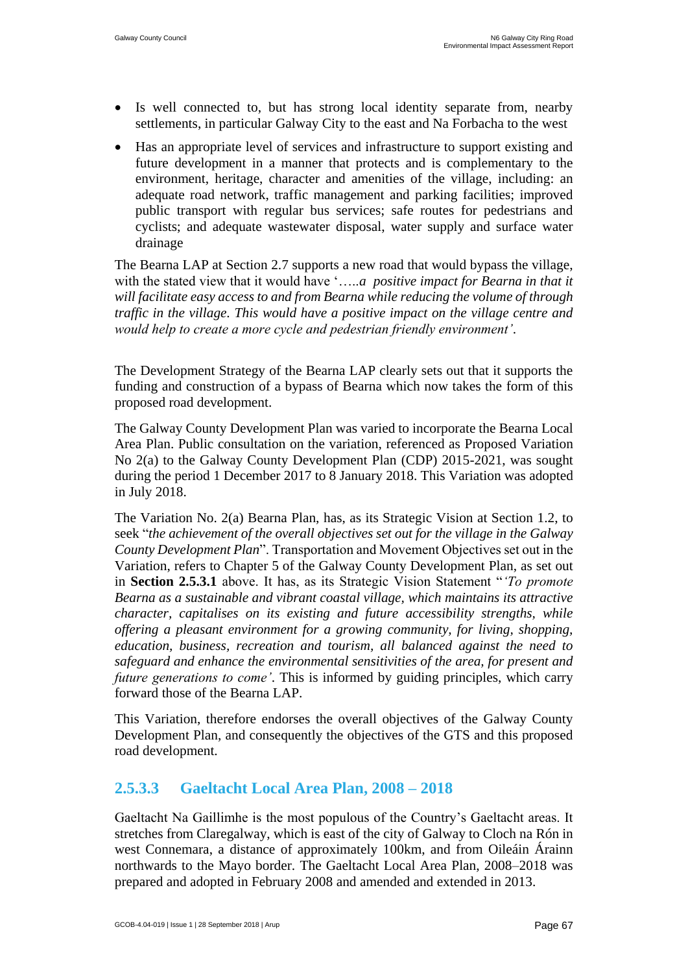- Is well connected to, but has strong local identity separate from, nearby settlements, in particular Galway City to the east and Na Forbacha to the west
- Has an appropriate level of services and infrastructure to support existing and future development in a manner that protects and is complementary to the environment, heritage, character and amenities of the village, including: an adequate road network, traffic management and parking facilities; improved public transport with regular bus services; safe routes for pedestrians and cyclists; and adequate wastewater disposal, water supply and surface water drainage

The Bearna LAP at Section 2.7 supports a new road that would bypass the village, with the stated view that it would have '…..*a positive impact for Bearna in that it will facilitate easy access to and from Bearna while reducing the volume of through traffic in the village. This would have a positive impact on the village centre and would help to create a more cycle and pedestrian friendly environment'*.

The Development Strategy of the Bearna LAP clearly sets out that it supports the funding and construction of a bypass of Bearna which now takes the form of this proposed road development.

The Galway County Development Plan was varied to incorporate the Bearna Local Area Plan. Public consultation on the variation, referenced as Proposed Variation No 2(a) to the Galway County Development Plan (CDP) 2015-2021, was sought during the period 1 December 2017 to 8 January 2018. This Variation was adopted in July 2018.

The Variation No. 2(a) Bearna Plan, has, as its Strategic Vision at Section 1.2, to seek "*the achievement of the overall objectives set out for the village in the Galway County Development Plan*". Transportation and Movement Objectives set out in the Variation, refers to Chapter 5 of the Galway County Development Plan, as set out in **Section 2.5.3.1** above. It has, as its Strategic Vision Statement "*'To promote Bearna as a sustainable and vibrant coastal village, which maintains its attractive character, capitalises on its existing and future accessibility strengths, while offering a pleasant environment for a growing community, for living, shopping, education, business, recreation and tourism, all balanced against the need to safeguard and enhance the environmental sensitivities of the area, for present and future generations to come'*. This is informed by guiding principles, which carry forward those of the Bearna LAP.

This Variation, therefore endorses the overall objectives of the Galway County Development Plan, and consequently the objectives of the GTS and this proposed road development.

### **2.5.3.3 Gaeltacht Local Area Plan, 2008 – 2018**

Gaeltacht Na Gaillimhe is the most populous of the Country's Gaeltacht areas. It stretches from Claregalway, which is east of the city of Galway to Cloch na Rón in west Connemara, a distance of approximately 100km, and from Oileáin Árainn northwards to the Mayo border. The Gaeltacht Local Area Plan, 2008–2018 was prepared and adopted in February 2008 and amended and extended in 2013.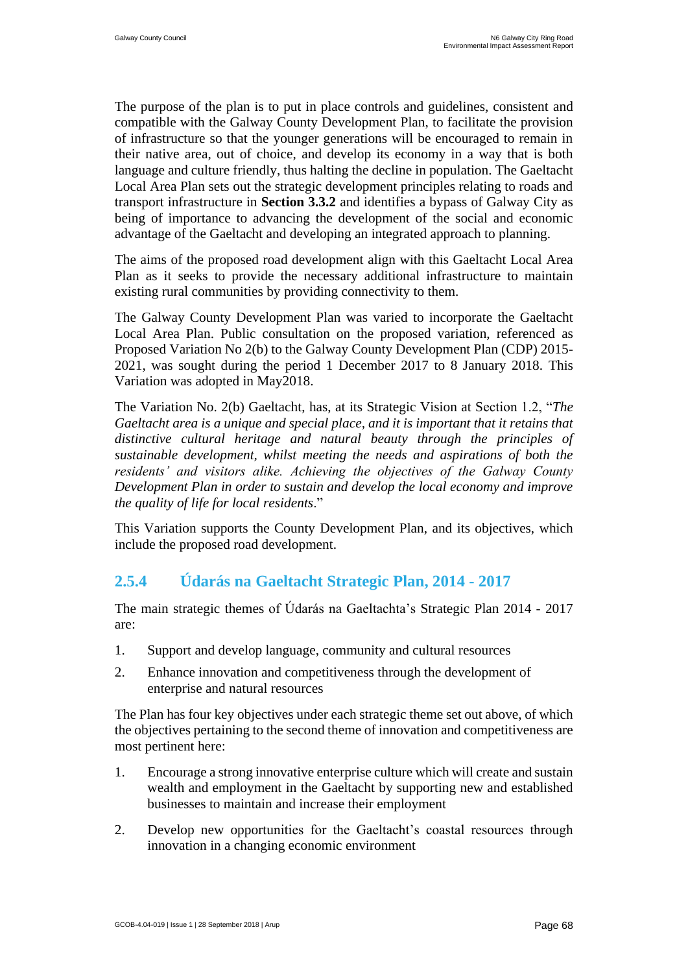The purpose of the plan is to put in place controls and guidelines, consistent and compatible with the Galway County Development Plan, to facilitate the provision of infrastructure so that the younger generations will be encouraged to remain in their native area, out of choice, and develop its economy in a way that is both language and culture friendly, thus halting the decline in population. The Gaeltacht Local Area Plan sets out the strategic development principles relating to roads and transport infrastructure in **Section 3.3.2** and identifies a bypass of Galway City as being of importance to advancing the development of the social and economic advantage of the Gaeltacht and developing an integrated approach to planning.

The aims of the proposed road development align with this Gaeltacht Local Area Plan as it seeks to provide the necessary additional infrastructure to maintain existing rural communities by providing connectivity to them.

The Galway County Development Plan was varied to incorporate the Gaeltacht Local Area Plan. Public consultation on the proposed variation, referenced as Proposed Variation No 2(b) to the Galway County Development Plan (CDP) 2015- 2021, was sought during the period 1 December 2017 to 8 January 2018. This Variation was adopted in May2018.

The Variation No. 2(b) Gaeltacht, has, at its Strategic Vision at Section 1.2, "*The Gaeltacht area is a unique and special place, and it is important that it retains that distinctive cultural heritage and natural beauty through the principles of sustainable development, whilst meeting the needs and aspirations of both the residents' and visitors alike. Achieving the objectives of the Galway County Development Plan in order to sustain and develop the local economy and improve the quality of life for local residents*."

This Variation supports the County Development Plan, and its objectives, which include the proposed road development.

# **2.5.4 Údarás na Gaeltacht Strategic Plan, 2014 - 2017**

The main strategic themes of Údarás na Gaeltachta's Strategic Plan 2014 - 2017 are:

- 1. Support and develop language, community and cultural resources
- 2. Enhance innovation and competitiveness through the development of enterprise and natural resources

The Plan has four key objectives under each strategic theme set out above, of which the objectives pertaining to the second theme of innovation and competitiveness are most pertinent here:

- 1. Encourage a strong innovative enterprise culture which will create and sustain wealth and employment in the Gaeltacht by supporting new and established businesses to maintain and increase their employment
- 2. Develop new opportunities for the Gaeltacht's coastal resources through innovation in a changing economic environment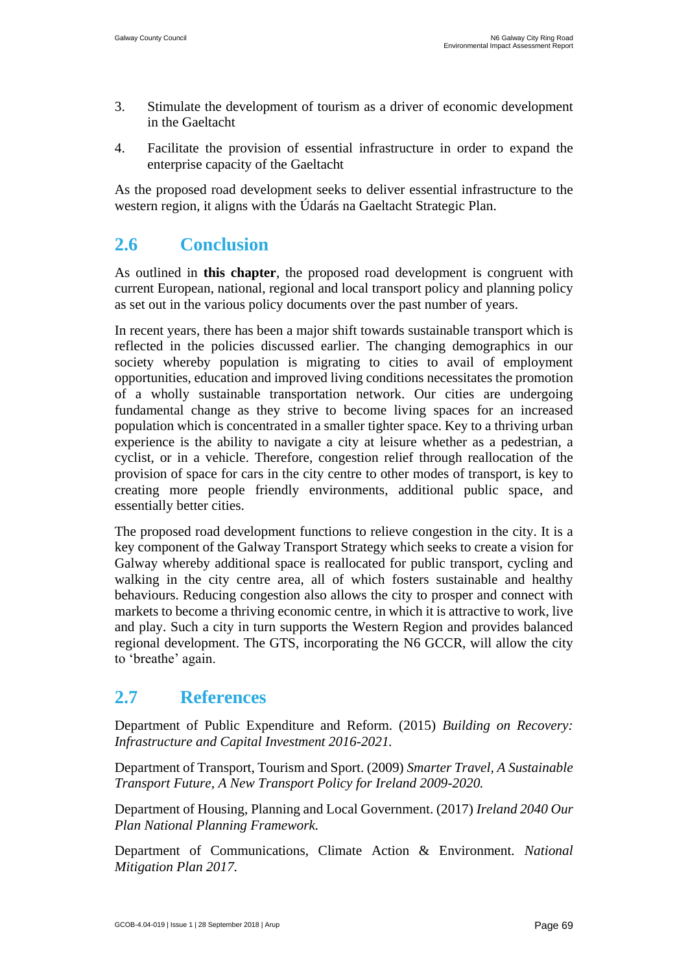- 3. Stimulate the development of tourism as a driver of economic development in the Gaeltacht
- 4. Facilitate the provision of essential infrastructure in order to expand the enterprise capacity of the Gaeltacht

As the proposed road development seeks to deliver essential infrastructure to the western region, it aligns with the Údarás na Gaeltacht Strategic Plan.

# <span id="page-35-0"></span>**2.6 Conclusion**

As outlined in **this chapter**, the proposed road development is congruent with current European, national, regional and local transport policy and planning policy as set out in the various policy documents over the past number of years.

In recent years, there has been a major shift towards sustainable transport which is reflected in the policies discussed earlier. The changing demographics in our society whereby population is migrating to cities to avail of employment opportunities, education and improved living conditions necessitates the promotion of a wholly sustainable transportation network. Our cities are undergoing fundamental change as they strive to become living spaces for an increased population which is concentrated in a smaller tighter space. Key to a thriving urban experience is the ability to navigate a city at leisure whether as a pedestrian, a cyclist, or in a vehicle. Therefore, congestion relief through reallocation of the provision of space for cars in the city centre to other modes of transport, is key to creating more [people friendly](http://www.arup.com/walkingcities) environments, additional public space, and essentially better cities.

The proposed road development functions to relieve congestion in the city. It is a key component of the Galway Transport Strategy which seeks to create a vision for Galway whereby additional space is reallocated for public transport, cycling and walking in the city centre area, all of which fosters sustainable and healthy behaviours. Reducing congestion also allows the city to prosper and connect with markets to become a thriving economic centre, in which it is attractive to work, live and play. Such a city in turn supports the Western Region and provides balanced regional development. The GTS, incorporating the N6 GCCR, will allow the city to 'breathe' again.

# <span id="page-35-1"></span>**2.7 References**

Department of Public Expenditure and Reform. (2015) *Building on Recovery: Infrastructure and Capital Investment 2016-2021.*

Department of Transport, Tourism and Sport. (2009) *Smarter Travel, A Sustainable Transport Future, A New Transport Policy for Ireland 2009-2020.*

Department of Housing, Planning and Local Government. (2017) *Ireland 2040 Our Plan National Planning Framework.*

Department of Communications, Climate Action & Environment*. National Mitigation Plan 2017.*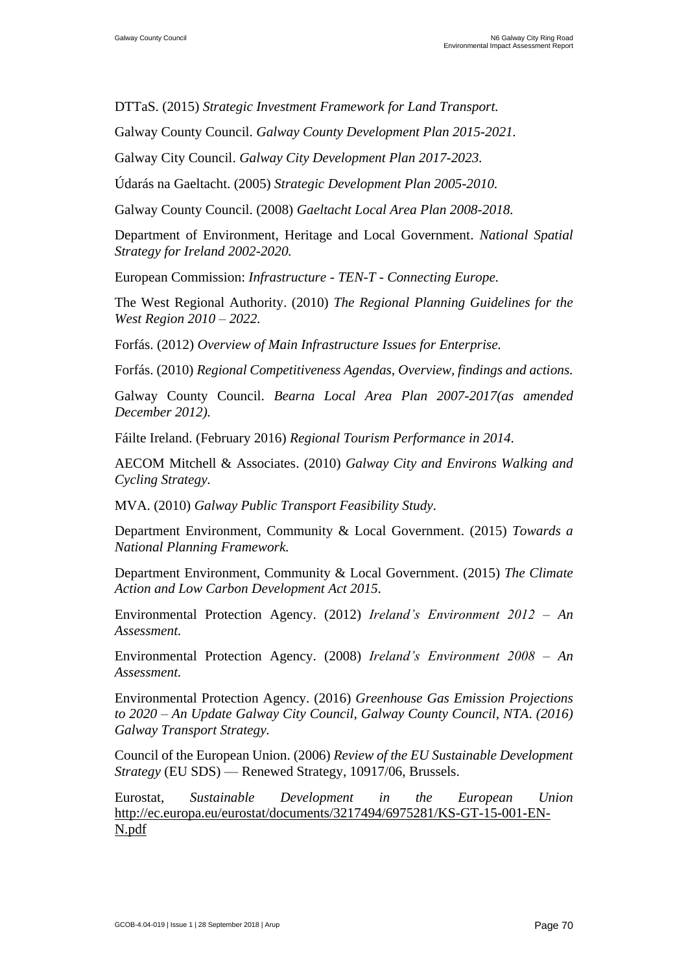DTTaS. (2015) *Strategic Investment Framework for Land Transport.*

Galway County Council. *Galway County Development Plan 2015-2021.*

Galway City Council. *Galway City Development Plan 2017-2023.*

Údarás na Gaeltacht. (2005) *Strategic Development Plan 2005-2010.*

Galway County Council. (2008) *Gaeltacht Local Area Plan 2008-2018.*

Department of Environment, Heritage and Local Government. *National Spatial Strategy for Ireland 2002-2020.*

European Commission: *Infrastructure - TEN-T - Connecting Europe.*

The West Regional Authority. (2010) *The Regional Planning Guidelines for the West Region 2010 – 2022.*

Forfás. (2012) *Overview of Main Infrastructure Issues for Enterprise.*

Forfás. (2010) *Regional Competitiveness Agendas, Overview, findings and actions.*

Galway County Council. *Bearna Local Area Plan 2007-2017(as amended December 2012).*

Fáilte Ireland. (February 2016) *Regional Tourism Performance in 2014.*

AECOM Mitchell & Associates. (2010) *Galway City and Environs Walking and Cycling Strategy.*

MVA. (2010) *Galway Public Transport Feasibility Study.*

Department Environment, Community & Local Government. (2015) *Towards a National Planning Framework.*

Department Environment, Community & Local Government. (2015) *The Climate Action and Low Carbon Development Act 2015.*

Environmental Protection Agency. (2012) *Ireland's Environment 2012 – An Assessment.*

Environmental Protection Agency. (2008) *Ireland's Environment 2008 – An Assessment.*

Environmental Protection Agency. (2016) *Greenhouse Gas Emission Projections to 2020 – An Update Galway City Council, Galway County Council, NTA*. *(2016) Galway Transport Strategy.*

Council of the European Union. (2006) *Review of the EU Sustainable Development Strategy* (EU SDS) — Renewed Strategy, 10917/06, Brussels.

Eurostat, *Sustainable Development in the European Union*  [http://ec.europa.eu/eurostat/documents/3217494/6975281/KS-GT-15-001-EN-](http://ec.europa.eu/eurostat/documents/3217494/6975281/KS-GT-15-001-EN-N.pdf)[N.pdf](http://ec.europa.eu/eurostat/documents/3217494/6975281/KS-GT-15-001-EN-N.pdf)